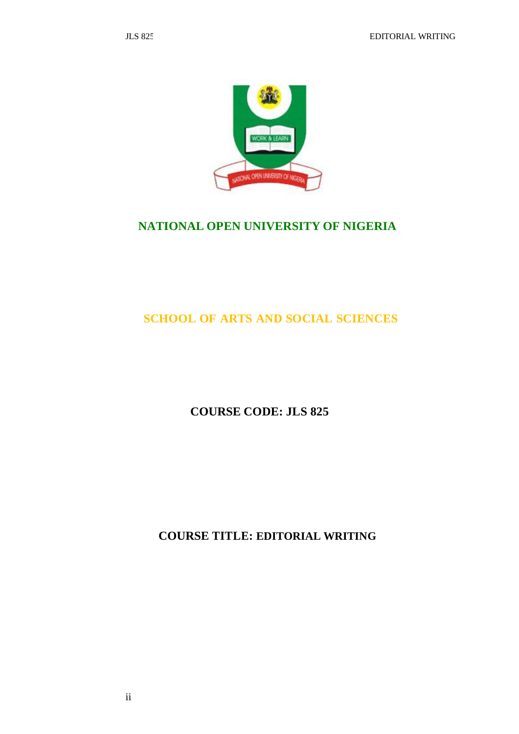JLS 825 EDITORIAL WRITING



# **NATIONAL OPEN UNIVERSITY OF NIGERIA**

# **SCHOOL OF ARTS AND SOCIAL SCIENCES**

# **COURSE CODE: JLS 825**

# **COURSE TITLE: EDITORIAL WRITING**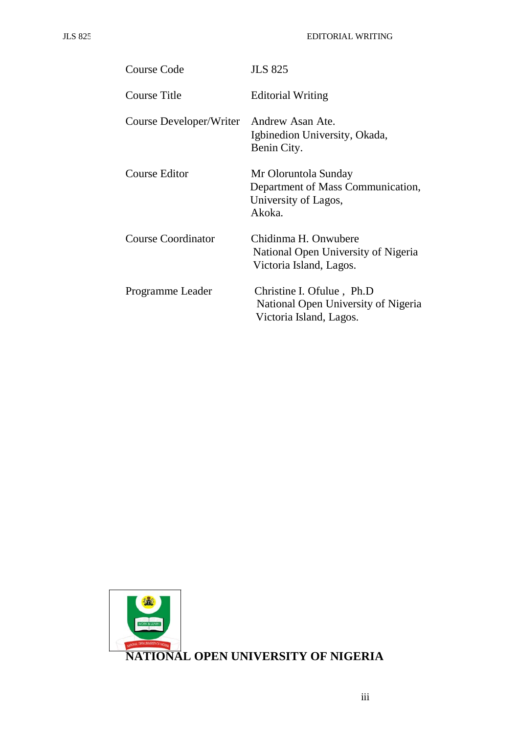| <b>Course Code</b>        | <b>JLS 825</b>                                                                              |
|---------------------------|---------------------------------------------------------------------------------------------|
| Course Title              | <b>Editorial Writing</b>                                                                    |
| Course Developer/Writer   | Andrew Asan Ate.<br>Igbinedion University, Okada,<br>Benin City.                            |
| <b>Course Editor</b>      | Mr Oloruntola Sunday<br>Department of Mass Communication,<br>University of Lagos,<br>Akoka. |
| <b>Course Coordinator</b> | Chidinma H. Onwubere<br>National Open University of Nigeria<br>Victoria Island, Lagos.      |
| Programme Leader          | Christine I. Ofulue, Ph.D<br>National Open University of Nigeria<br>Victoria Island, Lagos. |

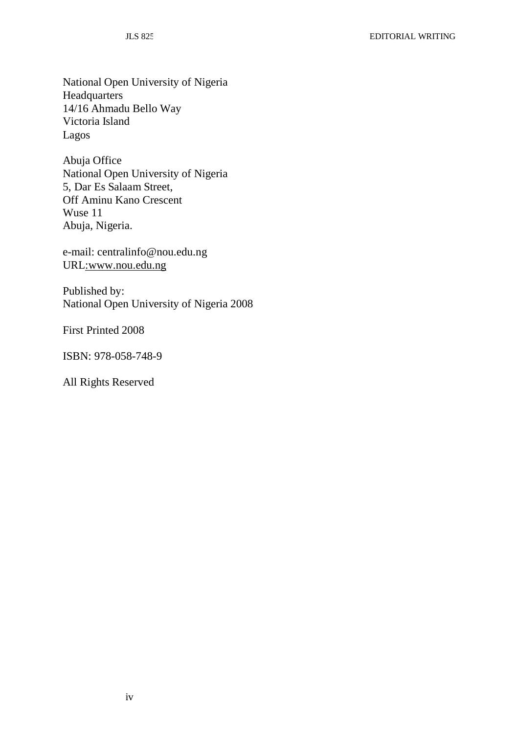National Open University of Nigeria Headquarters 14/16 Ahmadu Bello Way Victoria Island Lagos

Abuja Office National Open University of Nigeria 5, Dar Es Salaam Street, Off Aminu Kano Crescent Wuse 11 Abuja, Nigeria.

e-mail: [centralinfo@nou.edu.ng](mailto:centralinfo@nou.edu.ng) URL[:www.nou.edu.ng](http://www.nou.edu.ng/)

Published by: National Open University of Nigeria 2008

First Printed 2008

ISBN: 978-058-748-9

All Rights Reserved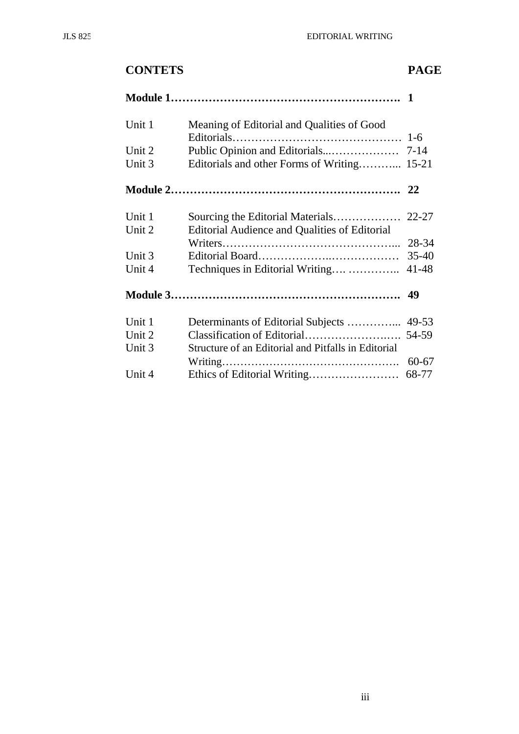### **CONTETS PAGE**

| Unit 1 | Meaning of Editorial and Qualities of Good           |           |
|--------|------------------------------------------------------|-----------|
|        |                                                      | $1-6$     |
| Unit 2 |                                                      | $7 - 14$  |
| Unit 3 | Editorials and other Forms of Writing<br>$15 - 21$   |           |
|        |                                                      |           |
| Unit 1 | Sourcing the Editorial Materials                     | $22 - 27$ |
| Unit 2 | <b>Editorial Audience and Qualities of Editorial</b> |           |
|        |                                                      | 28-34     |
| Unit 3 |                                                      | $35 - 40$ |
| Unit 4 | Techniques in Editorial Writing                      | 41-48     |
|        |                                                      | 49        |
| Unit 1 | Determinants of Editorial Subjects                   | 49-53     |
| Unit 2 |                                                      | 54-59     |
| Unit 3 | Structure of an Editorial and Pitfalls in Editorial  |           |
|        |                                                      | $60 - 67$ |
| Unit 4 |                                                      | 68-77     |
|        |                                                      |           |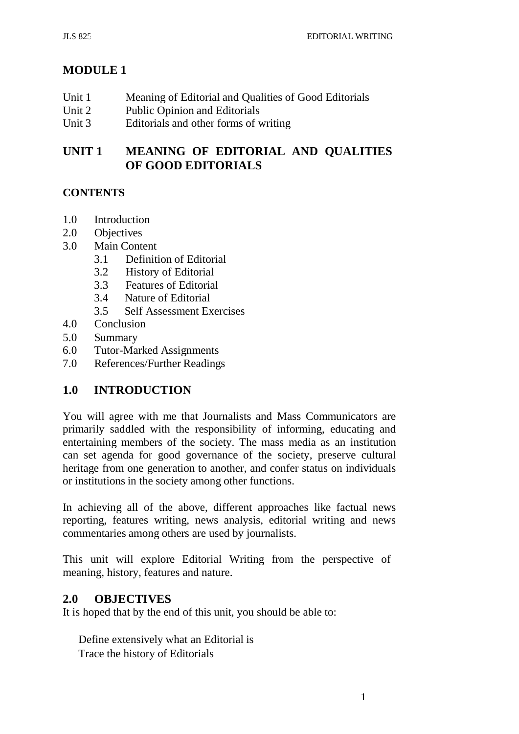# **MODULE 1**

- Unit 1 Meaning of Editorial and Qualities of Good Editorials
- Unit 2 Public Opinion and Editorials
- Unit 3 Editorials and other forms of writing

# **UNIT 1 MEANING OF EDITORIAL AND QUALITIES OF GOOD EDITORIALS**

# **CONTENTS**

- 1.0 Introduction
- 2.0 Objectives
- 3.0 Main Content
	- 3.1 Definition of Editorial
	- 3.2 History of Editorial
	- 3.3 Features of Editorial
	- 3.4 Nature of Editorial
	- 3.5 Self Assessment Exercises
- 4.0 Conclusion
- 5.0 Summary
- 6.0 Tutor-Marked Assignments
- 7.0 References/Further Readings

# **1.0 INTRODUCTION**

You will agree with me that Journalists and Mass Communicators are primarily saddled with the responsibility of informing, educating and entertaining members of the society. The mass media as an institution can set agenda for good governance of the society, preserve cultural heritage from one generation to another, and confer status on individuals or institutions in the society among other functions.

In achieving all of the above, different approaches like factual news reporting, features writing, news analysis, editorial writing and news commentaries among others are used by journalists.

This unit will explore Editorial Writing from the perspective of meaning, history, features and nature.

## **2.0 OBJECTIVES**

It is hoped that by the end of this unit, you should be able to:

Define extensively what an Editorial is Trace the history of Editorials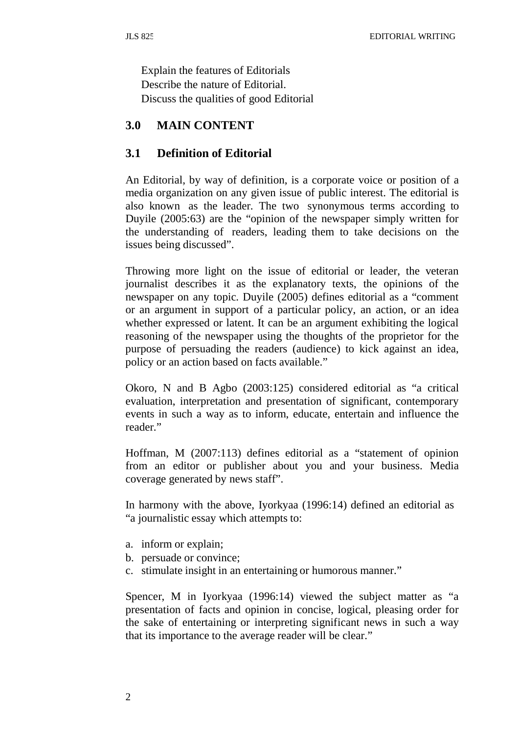Explain the features of Editorials Describe the nature of Editorial. Discuss the qualities of good Editorial

### **3.0 MAIN CONTENT**

### **3.1 Definition of Editorial**

An Editorial, by way of definition, is a corporate voice or position of a media organization on any given issue of public interest. The editorial is also known as the leader. The two synonymous terms according to Duyile (2005:63) are the "opinion of the newspaper simply written for the understanding of readers, leading them to take decisions on the issues being discussed".

Throwing more light on the issue of editorial or leader, the veteran journalist describes it as the explanatory texts, the opinions of the newspaper on any topic. Duyile (2005) defines editorial as a "comment or an argument in support of a particular policy, an action, or an idea whether expressed or latent. It can be an argument exhibiting the logical reasoning of the newspaper using the thoughts of the proprietor for the purpose of persuading the readers (audience) to kick against an idea, policy or an action based on facts available."

Okoro, N and B Agbo (2003:125) considered editorial as "a critical evaluation, interpretation and presentation of significant, contemporary events in such a way as to inform, educate, entertain and influence the reader."

Hoffman, M (2007:113) defines editorial as a "statement of opinion from an editor or publisher about you and your business. Media coverage generated by news staff".

In harmony with the above, Iyorkyaa (1996:14) defined an editorial as "a journalistic essay which attempts to:

- a. inform or explain;
- b. persuade or convince;
- c. stimulate insight in an entertaining or humorous manner."

Spencer, M in Iyorkyaa (1996:14) viewed the subject matter as "a presentation of facts and opinion in concise, logical, pleasing order for the sake of entertaining or interpreting significant news in such a way that its importance to the average reader will be clear."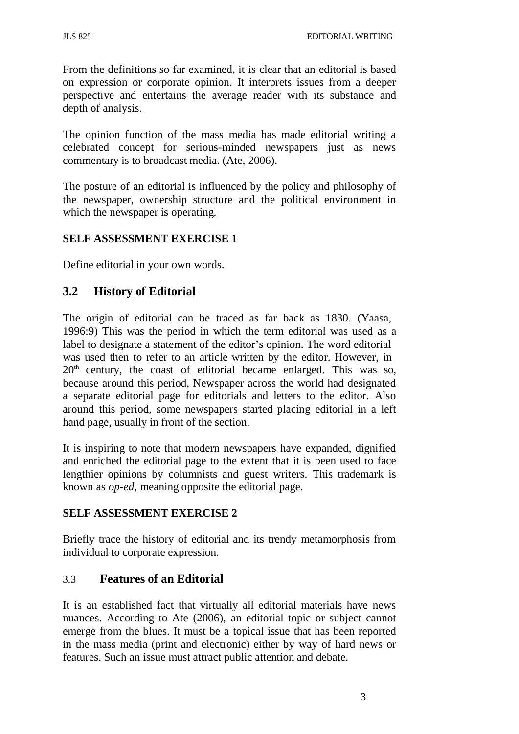From the definitions so far examined, it is clear that an editorial is based on expression or corporate opinion. It interprets issues from a deeper perspective and entertains the average reader with its substance and depth of analysis.

The opinion function of the mass media has made editorial writing a celebrated concept for serious-minded newspapers just as news commentary is to broadcast media. (Ate, 2006).

The posture of an editorial is influenced by the policy and philosophy of the newspaper, ownership structure and the political environment in which the newspaper is operating.

### **SELF ASSESSMENT EXERCISE 1**

Define editorial in your own words.

### **3.2 History of Editorial**

The origin of editorial can be traced as far back as 1830. (Yaasa, 1996:9) This was the period in which the term editorial was used as a label to designate a statement of the editor's opinion. The word editorial was used then to refer to an article written by the editor. However, in  $20<sup>th</sup>$  century, the coast of editorial became enlarged. This was so, because around this period, Newspaper across the world had designated a separate editorial page for editorials and letters to the editor. Also around this period, some newspapers started placing editorial in a left hand page, usually in front of the section.

It is inspiring to note that modern newspapers have expanded, dignified and enriched the editorial page to the extent that it is been used to face lengthier opinions by columnists and guest writers. This trademark is known as *op-ed*, meaning opposite the editorial page.

### **SELF ASSESSMENT EXERCISE 2**

Briefly trace the history of editorial and its trendy metamorphosis from individual to corporate expression.

### 3.3 **Features of an Editorial**

It is an established fact that virtually all editorial materials have news nuances. According to Ate (2006), an editorial topic or subject cannot emerge from the blues. It must be a topical issue that has been reported in the mass media (print and electronic) either by way of hard news or features. Such an issue must attract public attention and debate.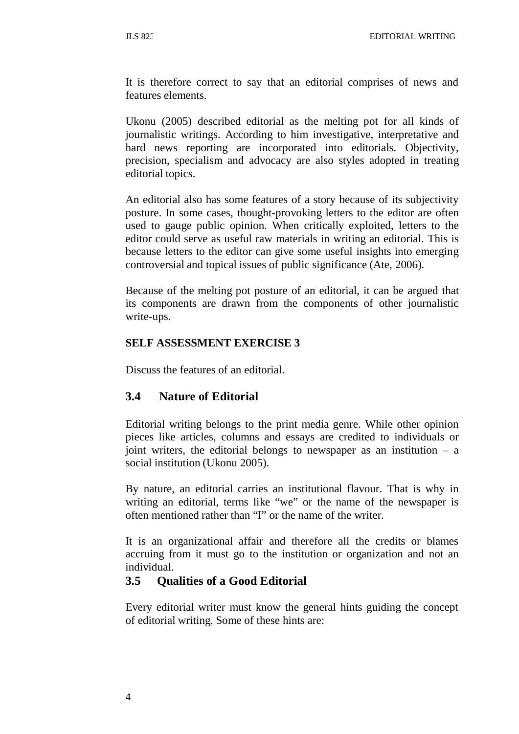It is therefore correct to say that an editorial comprises of news and features elements.

Ukonu (2005) described editorial as the melting pot for all kinds of journalistic writings. According to him investigative, interpretative and hard news reporting are incorporated into editorials. Objectivity, precision, specialism and advocacy are also styles adopted in treating editorial topics.

An editorial also has some features of a story because of its subjectivity posture. In some cases, thought-provoking letters to the editor are often used to gauge public opinion. When critically exploited, letters to the editor could serve as useful raw materials in writing an editorial. This is because letters to the editor can give some useful insights into emerging controversial and topical issues of public significance (Ate, 2006).

Because of the melting pot posture of an editorial, it can be argued that its components are drawn from the components of other journalistic write-ups.

### **SELF ASSESSMENT EXERCISE 3**

Discuss the features of an editorial.

## **3.4 Nature of Editorial**

Editorial writing belongs to the print media genre. While other opinion pieces like articles, columns and essays are credited to individuals or joint writers, the editorial belongs to newspaper as an institution  $-$  a social institution (Ukonu 2005).

By nature, an editorial carries an institutional flavour. That is why in writing an editorial, terms like "we" or the name of the newspaper is often mentioned rather than "I" or the name of the writer.

It is an organizational affair and therefore all the credits or blames accruing from it must go to the institution or organization and not an individual.

## **3.5 Qualities of a Good Editorial**

Every editorial writer must know the general hints guiding the concept of editorial writing. Some of these hints are: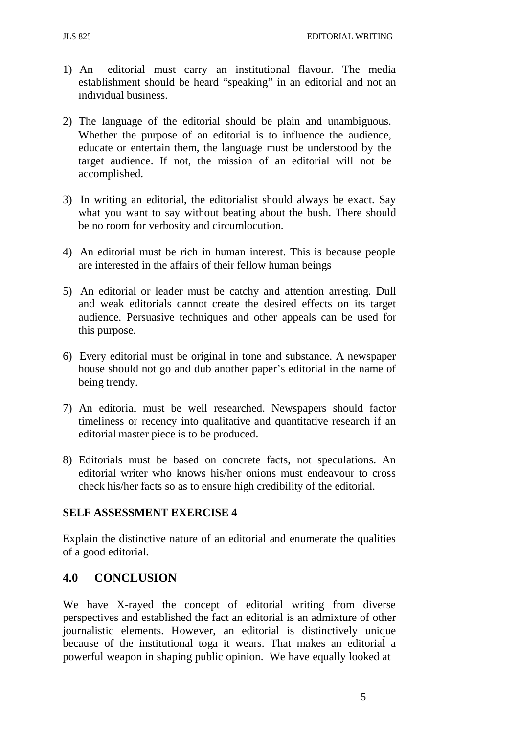- 1) An editorial must carry an institutional flavour. The media establishment should be heard "speaking" in an editorial and not an individual business.
- 2) The language of the editorial should be plain and unambiguous. Whether the purpose of an editorial is to influence the audience, educate or entertain them, the language must be understood by the target audience. If not, the mission of an editorial will not be accomplished.
- 3) In writing an editorial, the editorialist should always be exact. Say what you want to say without beating about the bush. There should be no room for verbosity and circumlocution.
- 4) An editorial must be rich in human interest. This is because people are interested in the affairs of their fellow human beings
- 5) An editorial or leader must be catchy and attention arresting. Dull and weak editorials cannot create the desired effects on its target audience. Persuasive techniques and other appeals can be used for this purpose.
- 6) Every editorial must be original in tone and substance. A newspaper house should not go and dub another paper's editorial in the name of being trendy.
- 7) An editorial must be well researched. Newspapers should factor timeliness or recency into qualitative and quantitative research if an editorial master piece is to be produced.
- 8) Editorials must be based on concrete facts, not speculations. An editorial writer who knows his/her onions must endeavour to cross check his/her facts so as to ensure high credibility of the editorial.

### **SELF ASSESSMENT EXERCISE 4**

Explain the distinctive nature of an editorial and enumerate the qualities of a good editorial.

### **4.0 CONCLUSION**

We have X-rayed the concept of editorial writing from diverse perspectives and established the fact an editorial is an admixture of other journalistic elements. However, an editorial is distinctively unique because of the institutional toga it wears. That makes an editorial a powerful weapon in shaping public opinion. We have equally looked at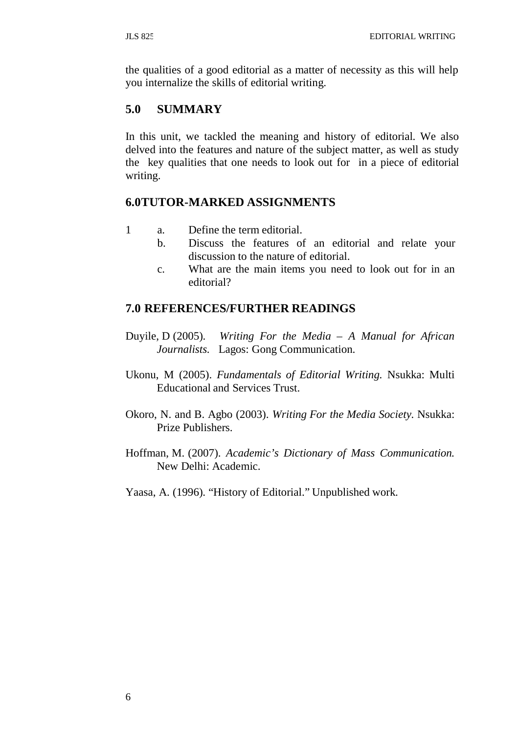the qualities of a good editorial as a matter of necessity as this will help you internalize the skills of editorial writing.

### **5.0 SUMMARY**

In this unit, we tackled the meaning and history of editorial. We also delved into the features and nature of the subject matter, as well as study the key qualities that one needs to look out for in a piece of editorial writing.

### **6.0TUTOR-MARKED ASSIGNMENTS**

- 1 a. Define the term editorial.
	- b. Discuss the features of an editorial and relate your discussion to the nature of editorial.
	- c. What are the main items you need to look out for in an editorial?

### **7.0 REFERENCES/FURTHER READINGS**

- Duyile, D (2005). *Writing For the Media – A Manual for African Journalists.* Lagos: Gong Communication.
- Ukonu, M (2005). *Fundamentals of Editorial Writing.* Nsukka: Multi Educational and Services Trust.
- Okoro, N. and B. Agbo (2003). *Writing For the Media Society.* Nsukka: Prize Publishers.
- Hoffman, M. (2007). *Academic's Dictionary of Mass Communication.* New Delhi: Academic.

Yaasa, A. (1996). "History of Editorial." Unpublished work.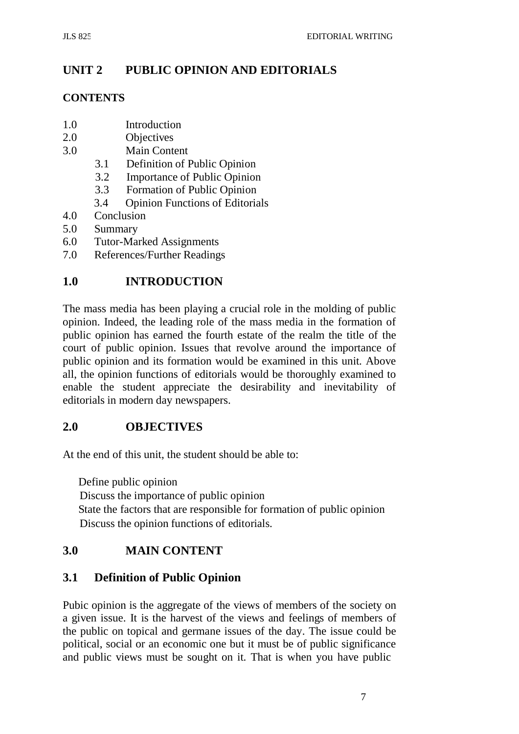# **UNIT 2 PUBLIC OPINION AND EDITORIALS**

### **CONTENTS**

- 1.0 Introduction
- 2.0 Objectives
- 3.0 Main Content
	- 3.1 Definition of Public Opinion
	- 3.2 Importance of Public Opinion
	- 3.3 Formation of Public Opinion
	- 3.4 Opinion Functions of Editorials
- 4.0 Conclusion
- 5.0 Summary
- 6.0 Tutor-Marked Assignments
- 7.0 References/Further Readings

# **1.0 INTRODUCTION**

The mass media has been playing a crucial role in the molding of public opinion. Indeed, the leading role of the mass media in the formation of public opinion has earned the fourth estate of the realm the title of the court of public opinion. Issues that revolve around the importance of public opinion and its formation would be examined in this unit. Above all, the opinion functions of editorials would be thoroughly examined to enable the student appreciate the desirability and inevitability of editorials in modern day newspapers.

## **2.0 OBJECTIVES**

At the end of this unit, the student should be able to:

Define public opinion

Discuss the importance of public opinion

State the factors that are responsible for formation of public opinion Discuss the opinion functions of editorials.

# **3.0 MAIN CONTENT**

## **3.1 Definition of Public Opinion**

Pubic opinion is the aggregate of the views of members of the society on a given issue. It is the harvest of the views and feelings of members of the public on topical and germane issues of the day. The issue could be political, social or an economic one but it must be of public significance and public views must be sought on it. That is when you have public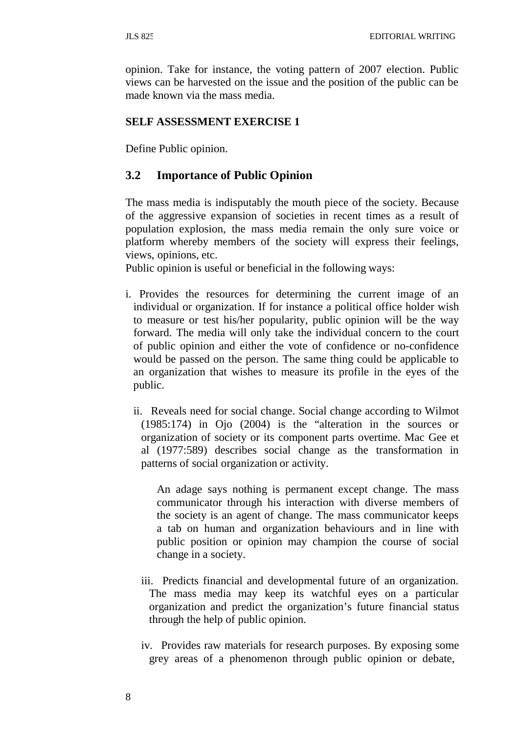opinion. Take for instance, the voting pattern of 2007 election. Public views can be harvested on the issue and the position of the public can be made known via the mass media.

#### **SELF ASSESSMENT EXERCISE 1**

Define Public opinion.

#### **3.2 Importance of Public Opinion**

The mass media is indisputably the mouth piece of the society. Because of the aggressive expansion of societies in recent times as a result of population explosion, the mass media remain the only sure voice or platform whereby members of the society will express their feelings, views, opinions, etc.

Public opinion is useful or beneficial in the following ways:

- i. Provides the resources for determining the current image of an individual or organization. If for instance a political office holder wish to measure or test his/her popularity, public opinion will be the way forward. The media will only take the individual concern to the court of public opinion and either the vote of confidence or no-confidence would be passed on the person. The same thing could be applicable to an organization that wishes to measure its profile in the eyes of the public.
	- ii. Reveals need for social change. Social change according to Wilmot (1985:174) in Ojo (2004) is the "alteration in the sources or organization of society or its component parts overtime. Mac Gee et al (1977:589) describes social change as the transformation in patterns of social organization or activity.

An adage says nothing is permanent except change. The mass communicator through his interaction with diverse members of the society is an agent of change. The mass communicator keeps a tab on human and organization behaviours and in line with public position or opinion may champion the course of social change in a society.

- iii. Predicts financial and developmental future of an organization. The mass media may keep its watchful eyes on a particular organization and predict the organization's future financial status through the help of public opinion.
- iv. Provides raw materials for research purposes. By exposing some grey areas of a phenomenon through public opinion or debate,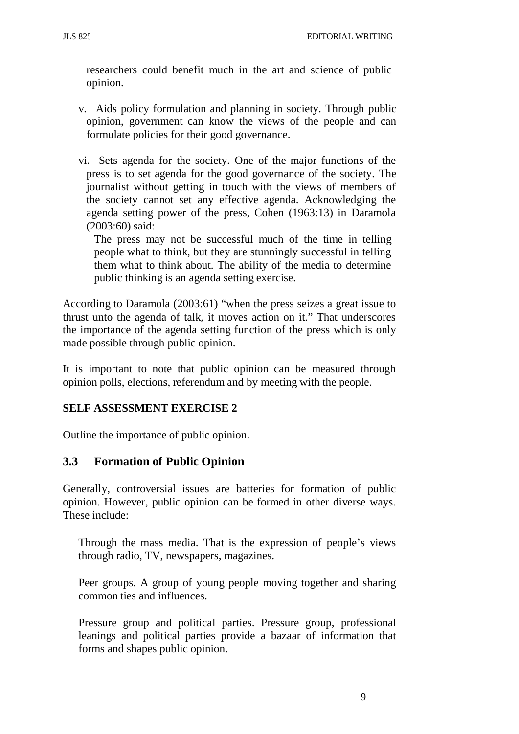JLS 825 EDITORIAL WRITING

researchers could benefit much in the art and science of public opinion.

- v. Aids policy formulation and planning in society. Through public opinion, government can know the views of the people and can formulate policies for their good governance.
- vi. Sets agenda for the society. One of the major functions of the press is to set agenda for the good governance of the society. The journalist without getting in touch with the views of members of the society cannot set any effective agenda. Acknowledging the agenda setting power of the press, Cohen (1963:13) in Daramola (2003:60) said:

The press may not be successful much of the time in telling people what to think, but they are stunningly successful in telling them what to think about. The ability of the media to determine public thinking is an agenda setting exercise.

According to Daramola (2003:61) "when the press seizes a great issue to thrust unto the agenda of talk, it moves action on it." That underscores the importance of the agenda setting function of the press which is only made possible through public opinion.

It is important to note that public opinion can be measured through opinion polls, elections, referendum and by meeting with the people.

### **SELF ASSESSMENT EXERCISE 2**

Outline the importance of public opinion.

### **3.3 Formation of Public Opinion**

Generally, controversial issues are batteries for formation of public opinion. However, public opinion can be formed in other diverse ways. These include:

Through the mass media. That is the expression of people's views through radio, TV, newspapers, magazines.

Peer groups. A group of young people moving together and sharing common ties and influences.

Pressure group and political parties. Pressure group, professional leanings and political parties provide a bazaar of information that forms and shapes public opinion.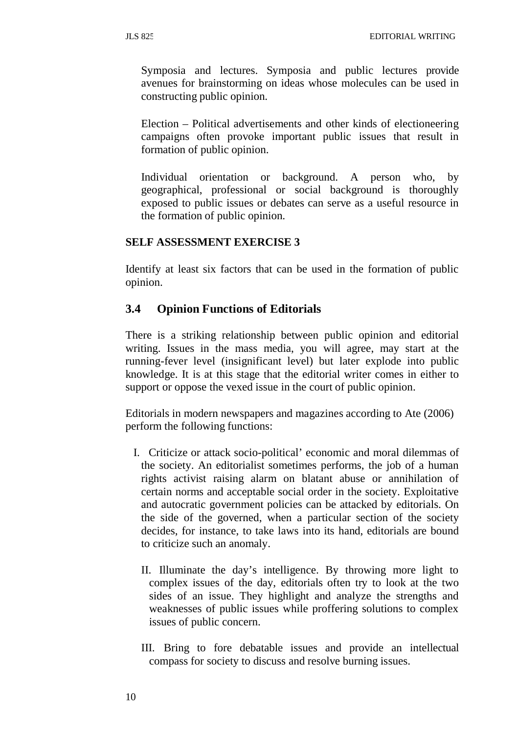Symposia and lectures. Symposia and public lectures provide avenues for brainstorming on ideas whose molecules can be used in constructing public opinion.

Election – Political advertisements and other kinds of electioneering campaigns often provoke important public issues that result in formation of public opinion.

Individual orientation or background. A person who, by geographical, professional or social background is thoroughly exposed to public issues or debates can serve as a useful resource in the formation of public opinion.

### **SELF ASSESSMENT EXERCISE 3**

Identify at least six factors that can be used in the formation of public opinion.

### **3.4 Opinion Functions of Editorials**

There is a striking relationship between public opinion and editorial writing. Issues in the mass media, you will agree, may start at the running-fever level (insignificant level) but later explode into public knowledge. It is at this stage that the editorial writer comes in either to support or oppose the vexed issue in the court of public opinion.

Editorials in modern newspapers and magazines according to Ate (2006) perform the following functions:

- I. Criticize or attack socio-political' economic and moral dilemmas of the society. An editorialist sometimes performs, the job of a human rights activist raising alarm on blatant abuse or annihilation of certain norms and acceptable social order in the society. Exploitative and autocratic government policies can be attacked by editorials. On the side of the governed, when a particular section of the society decides, for instance, to take laws into its hand, editorials are bound to criticize such an anomaly.
	- II. Illuminate the day's intelligence. By throwing more light to complex issues of the day, editorials often try to look at the two sides of an issue. They highlight and analyze the strengths and weaknesses of public issues while proffering solutions to complex issues of public concern.
	- III. Bring to fore debatable issues and provide an intellectual compass for society to discuss and resolve burning issues.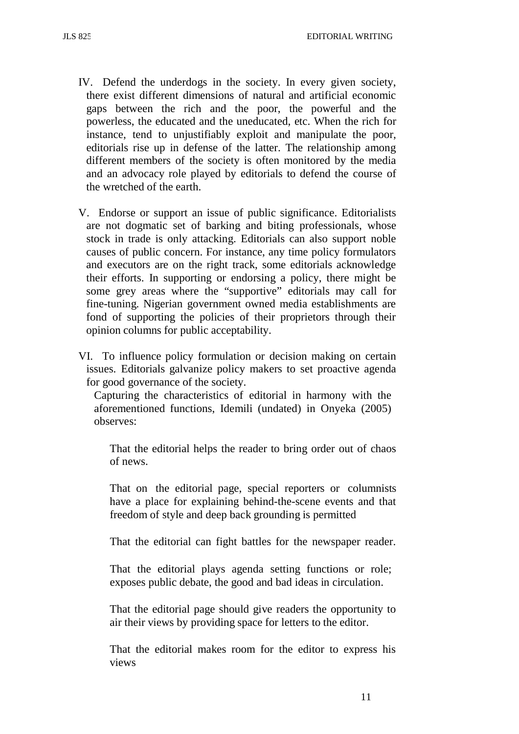- IV. Defend the underdogs in the society. In every given society, there exist different dimensions of natural and artificial economic gaps between the rich and the poor, the powerful and the powerless, the educated and the uneducated, etc. When the rich for instance, tend to unjustifiably exploit and manipulate the poor, editorials rise up in defense of the latter. The relationship among different members of the society is often monitored by the media and an advocacy role played by editorials to defend the course of the wretched of the earth.
- V. Endorse or support an issue of public significance. Editorialists are not dogmatic set of barking and biting professionals, whose stock in trade is only attacking. Editorials can also support noble causes of public concern. For instance, any time policy formulators and executors are on the right track, some editorials acknowledge their efforts. In supporting or endorsing a policy, there might be some grey areas where the "supportive" editorials may call for fine-tuning. Nigerian government owned media establishments are fond of supporting the policies of their proprietors through their opinion columns for public acceptability.
- VI. To influence policy formulation or decision making on certain issues. Editorials galvanize policy makers to set proactive agenda for good governance of the society.

Capturing the characteristics of editorial in harmony with the aforementioned functions, Idemili (undated) in Onyeka (2005) observes:

That the editorial helps the reader to bring order out of chaos of news.

That on the editorial page, special reporters or columnists have a place for explaining behind-the-scene events and that freedom of style and deep back grounding is permitted

That the editorial can fight battles for the newspaper reader.

That the editorial plays agenda setting functions or role; exposes public debate, the good and bad ideas in circulation.

That the editorial page should give readers the opportunity to air their views by providing space for letters to the editor.

That the editorial makes room for the editor to express his views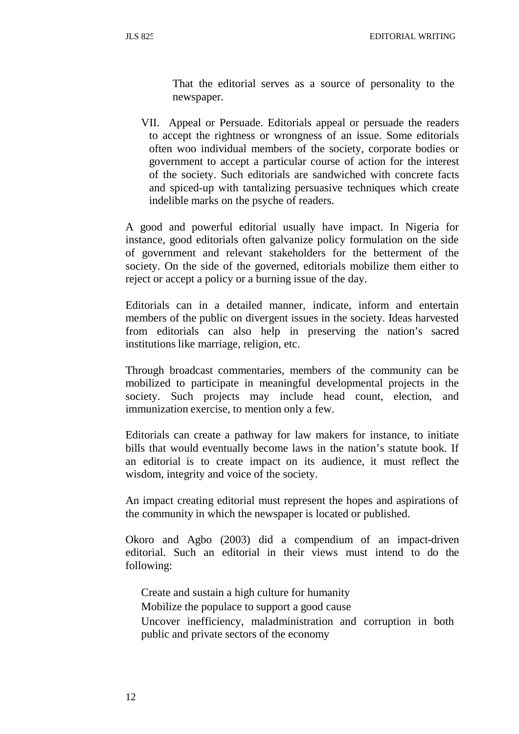VII. Appeal or Persuade. Editorials appeal or persuade the readers to accept the rightness or wrongness of an issue. Some editorials often woo individual members of the society, corporate bodies or government to accept a particular course of action for the interest of the society. Such editorials are sandwiched with concrete facts and spiced-up with tantalizing persuasive techniques which create indelible marks on the psyche of readers.

A good and powerful editorial usually have impact. In Nigeria for instance, good editorials often galvanize policy formulation on the side of government and relevant stakeholders for the betterment of the society. On the side of the governed, editorials mobilize them either to reject or accept a policy or a burning issue of the day.

Editorials can in a detailed manner, indicate, inform and entertain members of the public on divergent issues in the society. Ideas harvested from editorials can also help in preserving the nation's sacred institutions like marriage, religion, etc.

Through broadcast commentaries, members of the community can be mobilized to participate in meaningful developmental projects in the society. Such projects may include head count, election, and immunization exercise, to mention only a few.

Editorials can create a pathway for law makers for instance, to initiate bills that would eventually become laws in the nation's statute book. If an editorial is to create impact on its audience, it must reflect the wisdom, integrity and voice of the society.

An impact creating editorial must represent the hopes and aspirations of the community in which the newspaper is located or published.

Okoro and Agbo (2003) did a compendium of an impact-driven editorial. Such an editorial in their views must intend to do the following:

Create and sustain a high culture for humanity

Mobilize the populace to support a good cause

Uncover inefficiency, maladministration and corruption in both public and private sectors of the economy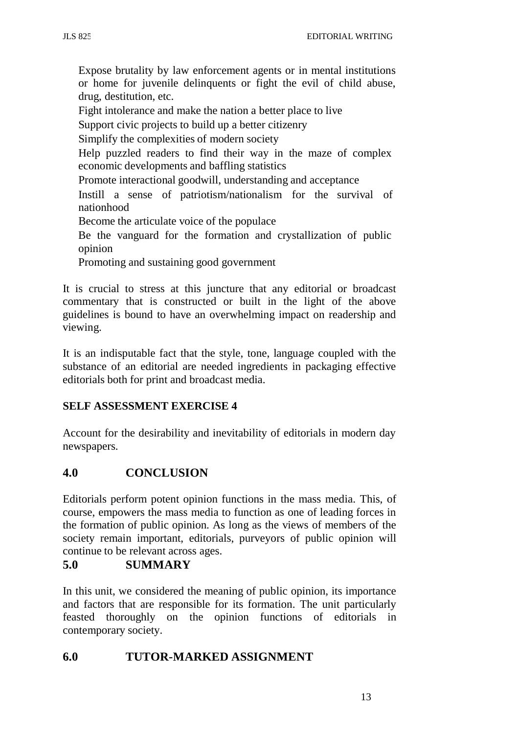Expose brutality by law enforcement agents or in mental institutions or home for juvenile delinquents or fight the evil of child abuse, drug, destitution, etc.

Fight intolerance and make the nation a better place to live

Support civic projects to build up a better citizenry

Simplify the complexities of modern society

Help puzzled readers to find their way in the maze of complex economic developments and baffling statistics

Promote interactional goodwill, understanding and acceptance

Instill a sense of patriotism/nationalism for the survival of nationhood

Become the articulate voice of the populace

Be the vanguard for the formation and crystallization of public opinion

Promoting and sustaining good government

It is crucial to stress at this juncture that any editorial or broadcast commentary that is constructed or built in the light of the above guidelines is bound to have an overwhelming impact on readership and viewing.

It is an indisputable fact that the style, tone, language coupled with the substance of an editorial are needed ingredients in packaging effective editorials both for print and broadcast media.

### **SELF ASSESSMENT EXERCISE 4**

Account for the desirability and inevitability of editorials in modern day newspapers.

## **4.0 CONCLUSION**

Editorials perform potent opinion functions in the mass media. This, of course, empowers the mass media to function as one of leading forces in the formation of public opinion. As long as the views of members of the society remain important, editorials, purveyors of public opinion will continue to be relevant across ages.

### **5.0 SUMMARY**

In this unit, we considered the meaning of public opinion, its importance and factors that are responsible for its formation. The unit particularly feasted thoroughly on the opinion functions of editorials in contemporary society.

### **6.0 TUTOR-MARKED ASSIGNMENT**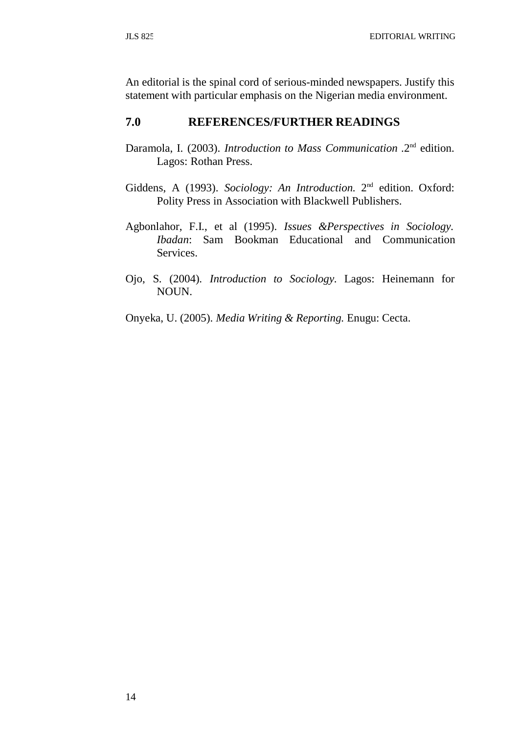An editorial is the spinal cord of serious-minded newspapers. Justify this statement with particular emphasis on the Nigerian media environment.

### **7.0 REFERENCES/FURTHER READINGS**

- Daramola, I. (2003). *Introduction to Mass Communication* .2nd edition. Lagos: Rothan Press.
- Giddens, A (1993). *Sociology: An Introduction.* 2nd edition. Oxford: Polity Press in Association with Blackwell Publishers.
- Agbonlahor, F.I., et al (1995). *Issues &Perspectives in Sociology. Ibadan*: Sam Bookman Educational and Communication Services.
- Ojo, S. (2004). *Introduction to Sociology.* Lagos: Heinemann for NOUN.

Onyeka, U. (2005). *Media Writing & Reporting.* Enugu: Cecta.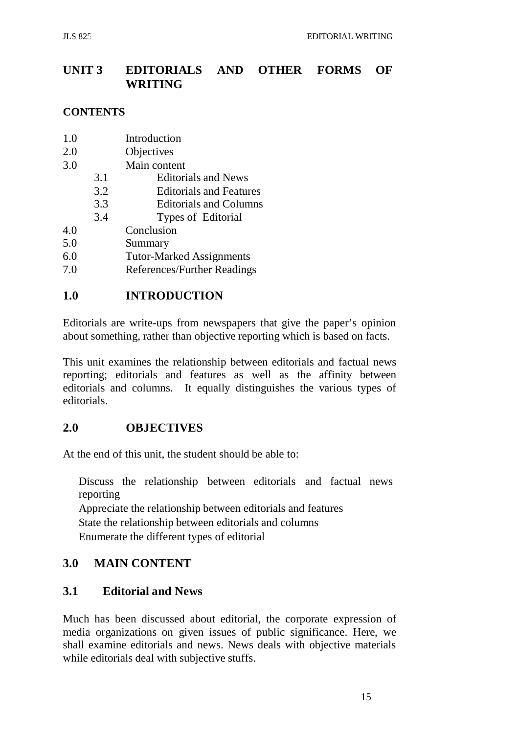# **UNIT 3 EDITORIALS AND OTHER FORMS OF WRITING**

### **CONTENTS**

| 1.0 | Introduction |
|-----|--------------|
|     |              |

- 2.0 Objectives
- 3.0 Main content
	- 3.1 Editorials and News
	- 3.2 Editorials and Features
	- 3.3 Editorials and Columns
	- 3.4 Types of Editorial
- 4.0 Conclusion
- 5.0 Summary
- 6.0 Tutor-Marked Assignments
- 7.0 References/Further Readings

# **1.0 INTRODUCTION**

Editorials are write-ups from newspapers that give the paper's opinion about something, rather than objective reporting which is based on facts.

This unit examines the relationship between editorials and factual news reporting; editorials and features as well as the affinity between editorials and columns. It equally distinguishes the various types of editorials.

### **2.0 OBJECTIVES**

At the end of this unit, the student should be able to:

Discuss the relationship between editorials and factual news reporting Appreciate the relationship between editorials and features State the relationship between editorials and columns

Enumerate the different types of editorial

## **3.0 MAIN CONTENT**

## **3.1 Editorial and News**

Much has been discussed about editorial, the corporate expression of media organizations on given issues of public significance. Here, we shall examine editorials and news. News deals with objective materials while editorials deal with subjective stuffs.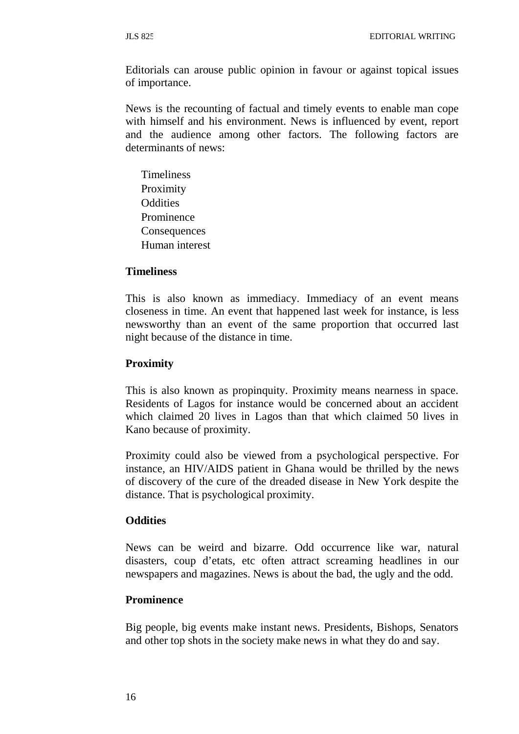Editorials can arouse public opinion in favour or against topical issues of importance.

News is the recounting of factual and timely events to enable man cope with himself and his environment. News is influenced by event, report and the audience among other factors. The following factors are determinants of news:

Timeliness Proximity **Oddities** Prominence **Consequences** Human interest

#### **Timeliness**

This is also known as immediacy. Immediacy of an event means closeness in time. An event that happened last week for instance, is less newsworthy than an event of the same proportion that occurred last night because of the distance in time.

#### **Proximity**

This is also known as propinquity. Proximity means nearness in space. Residents of Lagos for instance would be concerned about an accident which claimed 20 lives in Lagos than that which claimed 50 lives in Kano because of proximity.

Proximity could also be viewed from a psychological perspective. For instance, an HIV/AIDS patient in Ghana would be thrilled by the news of discovery of the cure of the dreaded disease in New York despite the distance. That is psychological proximity.

#### **Oddities**

News can be weird and bizarre. Odd occurrence like war, natural disasters, coup d'etats, etc often attract screaming headlines in our newspapers and magazines. News is about the bad, the ugly and the odd.

#### **Prominence**

Big people, big events make instant news. Presidents, Bishops, Senators and other top shots in the society make news in what they do and say.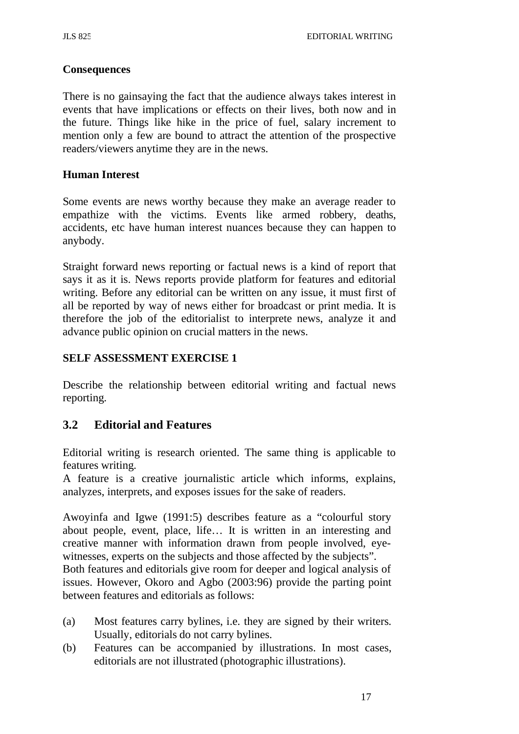### **Consequences**

There is no gainsaying the fact that the audience always takes interest in events that have implications or effects on their lives, both now and in the future. Things like hike in the price of fuel, salary increment to mention only a few are bound to attract the attention of the prospective readers/viewers anytime they are in the news.

### **Human Interest**

Some events are news worthy because they make an average reader to empathize with the victims. Events like armed robbery, deaths, accidents, etc have human interest nuances because they can happen to anybody.

Straight forward news reporting or factual news is a kind of report that says it as it is. News reports provide platform for features and editorial writing. Before any editorial can be written on any issue, it must first of all be reported by way of news either for broadcast or print media. It is therefore the job of the editorialist to interprete news, analyze it and advance public opinion on crucial matters in the news.

### **SELF ASSESSMENT EXERCISE 1**

Describe the relationship between editorial writing and factual news reporting.

### **3.2 Editorial and Features**

Editorial writing is research oriented. The same thing is applicable to features writing.

A feature is a creative journalistic article which informs, explains, analyzes, interprets, and exposes issues for the sake of readers.

Awoyinfa and Igwe (1991:5) describes feature as a "colourful story about people, event, place, life… It is written in an interesting and creative manner with information drawn from people involved, eyewitnesses, experts on the subjects and those affected by the subjects". Both features and editorials give room for deeper and logical analysis of issues. However, Okoro and Agbo (2003:96) provide the parting point between features and editorials as follows:

- (a) Most features carry bylines, i.e. they are signed by their writers. Usually, editorials do not carry bylines.
- (b) Features can be accompanied by illustrations. In most cases, editorials are not illustrated (photographic illustrations).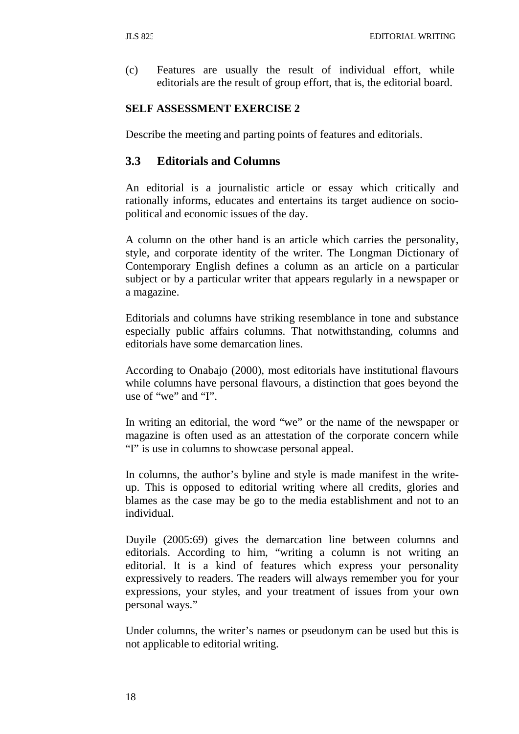(c) Features are usually the result of individual effort, while editorials are the result of group effort, that is, the editorial board.

### **SELF ASSESSMENT EXERCISE 2**

Describe the meeting and parting points of features and editorials.

### **3.3 Editorials and Columns**

An editorial is a journalistic article or essay which critically and rationally informs, educates and entertains its target audience on sociopolitical and economic issues of the day.

A column on the other hand is an article which carries the personality, style, and corporate identity of the writer. The Longman Dictionary of Contemporary English defines a column as an article on a particular subject or by a particular writer that appears regularly in a newspaper or a magazine.

Editorials and columns have striking resemblance in tone and substance especially public affairs columns. That notwithstanding, columns and editorials have some demarcation lines.

According to Onabajo (2000), most editorials have institutional flavours while columns have personal flavours, a distinction that goes beyond the use of "we" and "I".

In writing an editorial, the word "we" or the name of the newspaper or magazine is often used as an attestation of the corporate concern while "I" is use in columns to showcase personal appeal.

In columns, the author's byline and style is made manifest in the writeup. This is opposed to editorial writing where all credits, glories and blames as the case may be go to the media establishment and not to an individual.

Duyile (2005:69) gives the demarcation line between columns and editorials. According to him, "writing a column is not writing an editorial. It is a kind of features which express your personality expressively to readers. The readers will always remember you for your expressions, your styles, and your treatment of issues from your own personal ways."

Under columns, the writer's names or pseudonym can be used but this is not applicable to editorial writing.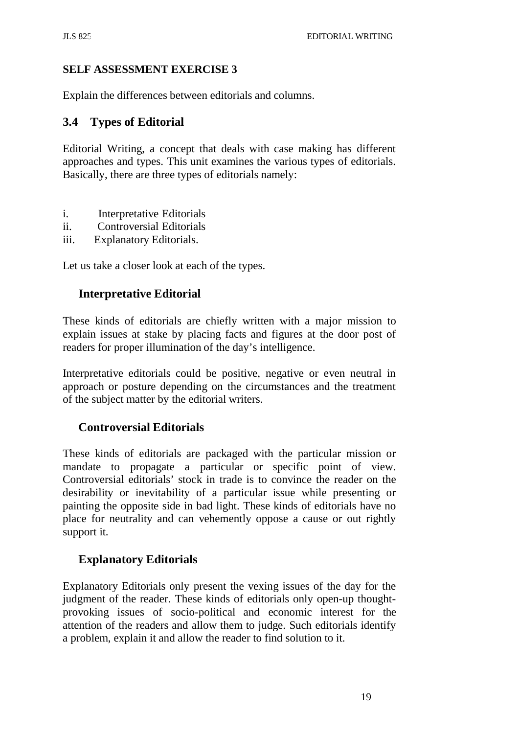### **SELF ASSESSMENT EXERCISE 3**

Explain the differences between editorials and columns.

### **3.4 Types of Editorial**

Editorial Writing, a concept that deals with case making has different approaches and types. This unit examines the various types of editorials. Basically, there are three types of editorials namely:

- i. Interpretative Editorials
- ii. Controversial Editorials
- iii. Explanatory Editorials.

Let us take a closer look at each of the types.

## **Interpretative Editorial**

These kinds of editorials are chiefly written with a major mission to explain issues at stake by placing facts and figures at the door post of readers for proper illumination of the day's intelligence.

Interpretative editorials could be positive, negative or even neutral in approach or posture depending on the circumstances and the treatment of the subject matter by the editorial writers.

## **Controversial Editorials**

These kinds of editorials are packaged with the particular mission or mandate to propagate a particular or specific point of view. Controversial editorials' stock in trade is to convince the reader on the desirability or inevitability of a particular issue while presenting or painting the opposite side in bad light. These kinds of editorials have no place for neutrality and can vehemently oppose a cause or out rightly support it.

## **Explanatory Editorials**

Explanatory Editorials only present the vexing issues of the day for the judgment of the reader. These kinds of editorials only open-up thoughtprovoking issues of socio-political and economic interest for the attention of the readers and allow them to judge. Such editorials identify a problem, explain it and allow the reader to find solution to it.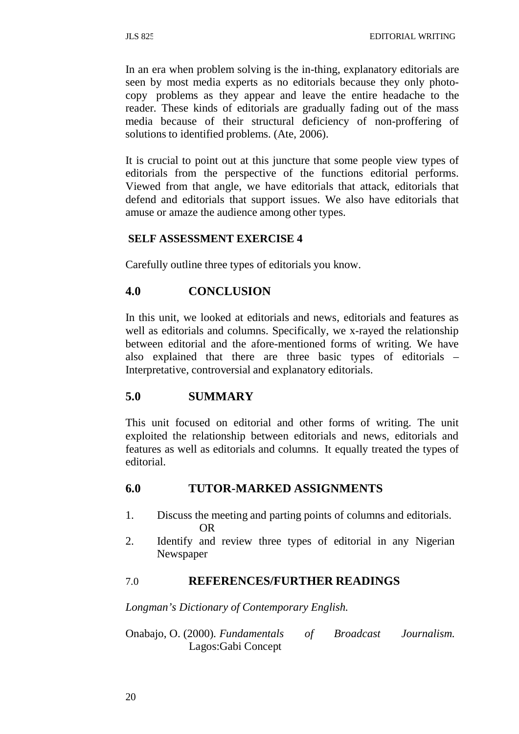In an era when problem solving is the in-thing, explanatory editorials are seen by most media experts as no editorials because they only photocopy problems as they appear and leave the entire headache to the reader. These kinds of editorials are gradually fading out of the mass media because of their structural deficiency of non-proffering of solutions to identified problems. (Ate, 2006).

It is crucial to point out at this juncture that some people view types of editorials from the perspective of the functions editorial performs. Viewed from that angle, we have editorials that attack, editorials that defend and editorials that support issues. We also have editorials that amuse or amaze the audience among other types.

### **SELF ASSESSMENT EXERCISE 4**

Carefully outline three types of editorials you know.

### **4.0 CONCLUSION**

In this unit, we looked at editorials and news, editorials and features as well as editorials and columns. Specifically, we x-rayed the relationship between editorial and the afore-mentioned forms of writing. We have also explained that there are three basic types of editorials – Interpretative, controversial and explanatory editorials.

### **5.0 SUMMARY**

This unit focused on editorial and other forms of writing. The unit exploited the relationship between editorials and news, editorials and features as well as editorials and columns. It equally treated the types of editorial.

### **6.0 TUTOR-MARKED ASSIGNMENTS**

- 1. Discuss the meeting and parting points of columns and editorials. OR
- 2. Identify and review three types of editorial in any Nigerian Newspaper

#### 7.0 **REFERENCES/FURTHER READINGS**

*Longman's Dictionary of Contemporary English.*

Onabajo, O. (2000). *Fundamentals of Broadcast Journalism.* Lagos:Gabi Concept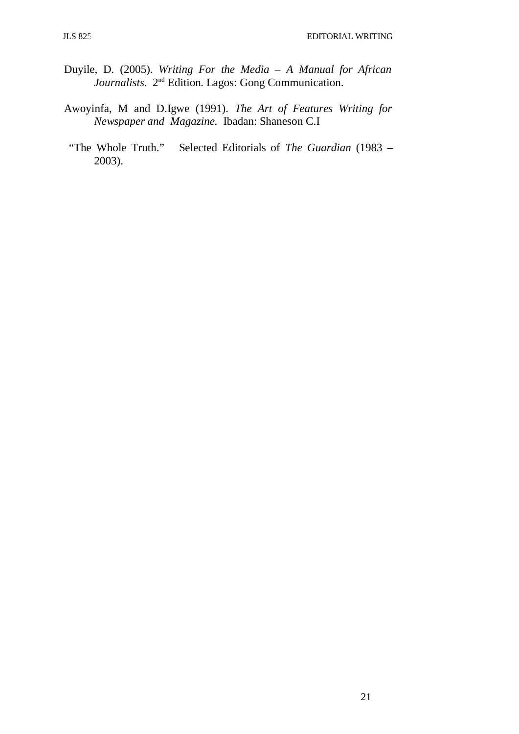- Duyile, D. (2005). *Writing For the Media A Manual for African Journalists.* 2nd Edition*.* Lagos: Gong Communication.
- Awoyinfa, M and D.Igwe (1991). *The Art of Features Writing for Newspaper and Magazine.* Ibadan: Shaneson C.I
	- "The Whole Truth." Selected Editorials of *The Guardian* (1983 2003).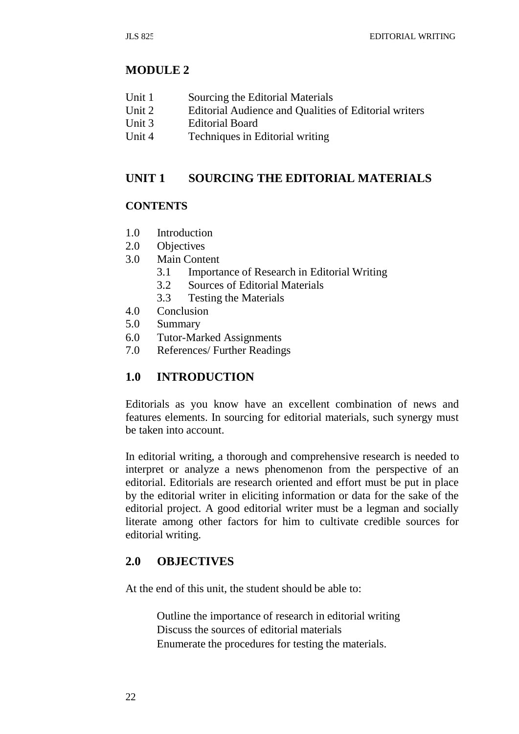### **MODULE 2**

- Unit 1 Sourcing the Editorial Materials
- Unit 2 Editorial Audience and Qualities of Editorial writers
- Unit 3 Editorial Board
- Unit 4 Techniques in Editorial writing

### **UNIT 1 SOURCING THE EDITORIAL MATERIALS**

### **CONTENTS**

- 1.0 Introduction
- 2.0 Objectives
- 3.0 Main Content
	- 3.1 Importance of Research in Editorial Writing
	- 3.2 Sources of Editorial Materials
	- 3.3 Testing the Materials
- 4.0 Conclusion
- 5.0 Summary
- 6.0 Tutor-Marked Assignments
- 7.0 References/ Further Readings

## **1.0 INTRODUCTION**

Editorials as you know have an excellent combination of news and features elements. In sourcing for editorial materials, such synergy must be taken into account.

In editorial writing, a thorough and comprehensive research is needed to interpret or analyze a news phenomenon from the perspective of an editorial. Editorials are research oriented and effort must be put in place by the editorial writer in eliciting information or data for the sake of the editorial project. A good editorial writer must be a legman and socially literate among other factors for him to cultivate credible sources for editorial writing.

## **2.0 OBJECTIVES**

At the end of this unit, the student should be able to:

Outline the importance of research in editorial writing Discuss the sources of editorial materials Enumerate the procedures for testing the materials.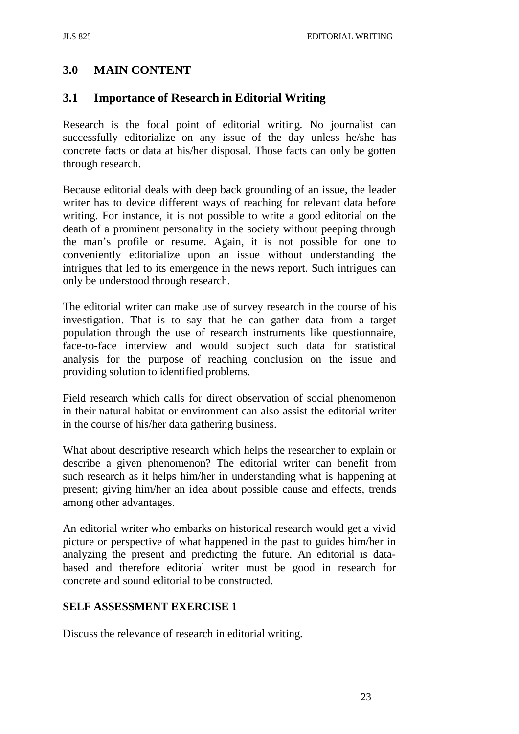## **3.0 MAIN CONTENT**

### **3.1 Importance of Research in Editorial Writing**

Research is the focal point of editorial writing. No journalist can successfully editorialize on any issue of the day unless he/she has concrete facts or data at his/her disposal. Those facts can only be gotten through research.

Because editorial deals with deep back grounding of an issue, the leader writer has to device different ways of reaching for relevant data before writing. For instance, it is not possible to write a good editorial on the death of a prominent personality in the society without peeping through the man's profile or resume. Again, it is not possible for one to conveniently editorialize upon an issue without understanding the intrigues that led to its emergence in the news report. Such intrigues can only be understood through research.

The editorial writer can make use of survey research in the course of his investigation. That is to say that he can gather data from a target population through the use of research instruments like questionnaire, face-to-face interview and would subject such data for statistical analysis for the purpose of reaching conclusion on the issue and providing solution to identified problems.

Field research which calls for direct observation of social phenomenon in their natural habitat or environment can also assist the editorial writer in the course of his/her data gathering business.

What about descriptive research which helps the researcher to explain or describe a given phenomenon? The editorial writer can benefit from such research as it helps him/her in understanding what is happening at present; giving him/her an idea about possible cause and effects, trends among other advantages.

An editorial writer who embarks on historical research would get a vivid picture or perspective of what happened in the past to guides him/her in analyzing the present and predicting the future. An editorial is databased and therefore editorial writer must be good in research for concrete and sound editorial to be constructed.

#### **SELF ASSESSMENT EXERCISE 1**

Discuss the relevance of research in editorial writing.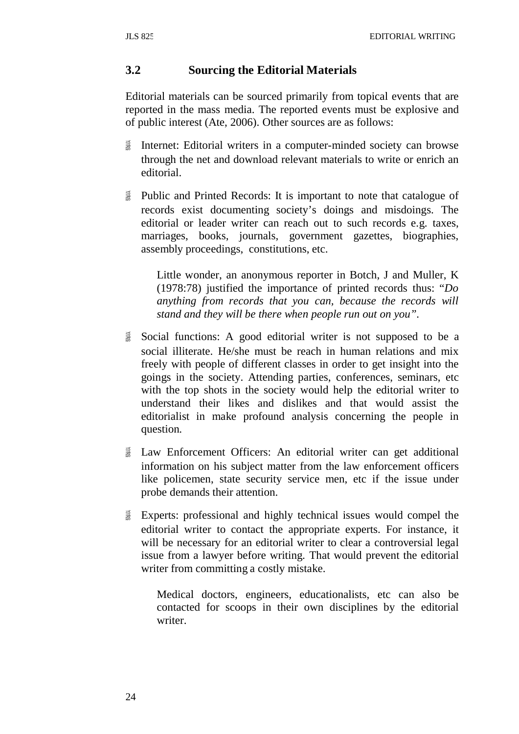#### **3.2 Sourcing the Editorial Materials**

Editorial materials can be sourced primarily from topical events that are reported in the mass media. The reported events must be explosive and of public interest (Ate, 2006). Other sources are as follows:

- Internet: Editorial writers in a computer-minded society can browse through the net and download relevant materials to write or enrich an editorial.
- **EXECUTE:** Public and Printed Records: It is important to note that catalogue of records exist documenting society's doings and misdoings. The editorial or leader writer can reach out to such records e.g. taxes, marriages, books, journals, government gazettes, biographies, assembly proceedings, constitutions, etc.

Little wonder, an anonymous reporter in Botch, J and Muller, K (1978:78) justified the importance of printed records thus: "*Do anything from records that you can, because the records will stand and they will be there when people run out on you".*

- Social functions: A good editorial writer is not supposed to be a social illiterate. He/she must be reach in human relations and mix freely with people of different classes in order to get insight into the goings in the society. Attending parties, conferences, seminars, etc with the top shots in the society would help the editorial writer to understand their likes and dislikes and that would assist the editorialist in make profound analysis concerning the people in question.
- **EXECUTE:** An editorial writer can get additional information on his subject matter from the law enforcement officers like policemen, state security service men, etc if the issue under probe demands their attention.
- **Experts:** professional and highly technical issues would compel the editorial writer to contact the appropriate experts. For instance, it will be necessary for an editorial writer to clear a controversial legal issue from a lawyer before writing. That would prevent the editorial writer from committing a costly mistake.

Medical doctors, engineers, educationalists, etc can also be contacted for scoops in their own disciplines by the editorial writer.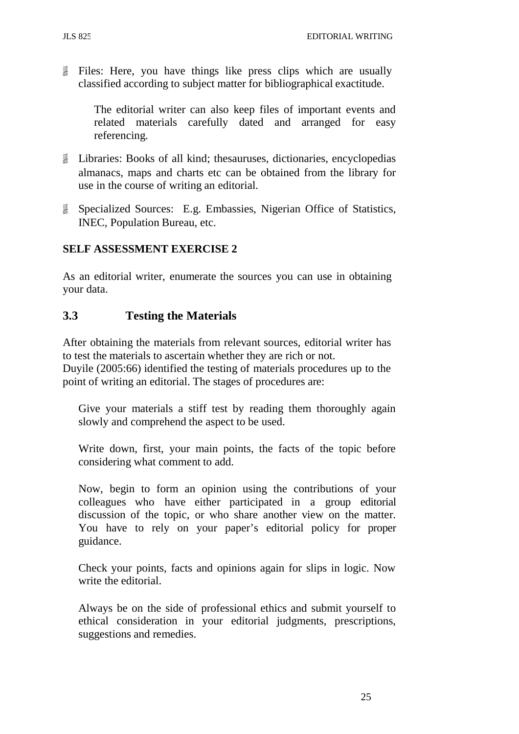**K** Files: Here, you have things like press clips which are usually classified according to subject matter for bibliographical exactitude.

The editorial writer can also keep files of important events and related materials carefully dated and arranged for easy referencing.

- **Example 3.1** Libraries: Books of all kind; thesauruses, dictionaries, encyclopedias almanacs, maps and charts etc can be obtained from the library for use in the course of writing an editorial.
- **If Specialized Sources: E.g. Embassies, Nigerian Office of Statistics,** INEC, Population Bureau, etc.

### **SELF ASSESSMENT EXERCISE 2**

As an editorial writer, enumerate the sources you can use in obtaining your data.

### **3.3 Testing the Materials**

After obtaining the materials from relevant sources, editorial writer has to test the materials to ascertain whether they are rich or not.

Duyile (2005:66) identified the testing of materials procedures up to the point of writing an editorial. The stages of procedures are:

Give your materials a stiff test by reading them thoroughly again slowly and comprehend the aspect to be used.

Write down, first, your main points, the facts of the topic before considering what comment to add.

Now, begin to form an opinion using the contributions of your colleagues who have either participated in a group editorial discussion of the topic, or who share another view on the matter. You have to rely on your paper's editorial policy for proper guidance.

Check your points, facts and opinions again for slips in logic. Now write the editorial.

Always be on the side of professional ethics and submit yourself to ethical consideration in your editorial judgments, prescriptions, suggestions and remedies.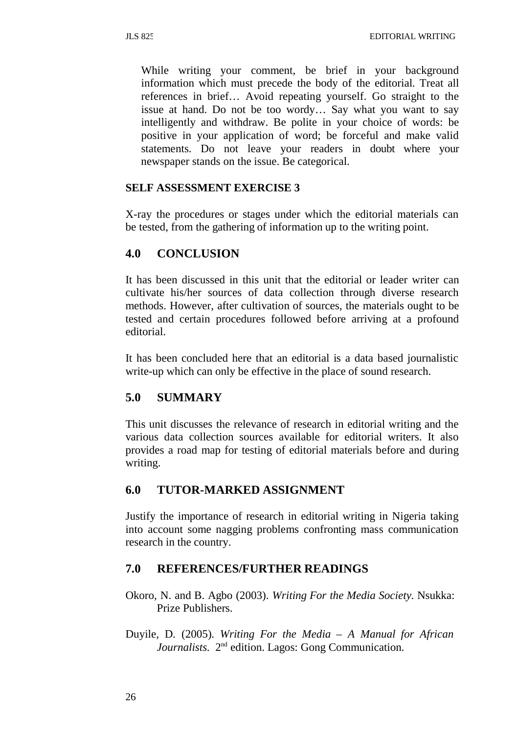While writing your comment, be brief in your background information which must precede the body of the editorial. Treat all references in brief… Avoid repeating yourself. Go straight to the issue at hand. Do not be too wordy… Say what you want to say intelligently and withdraw. Be polite in your choice of words: be positive in your application of word; be forceful and make valid statements. Do not leave your readers in doubt where your newspaper stands on the issue. Be categorical.

#### **SELF ASSESSMENT EXERCISE 3**

X-ray the procedures or stages under which the editorial materials can be tested, from the gathering of information up to the writing point.

### **4.0 CONCLUSION**

It has been discussed in this unit that the editorial or leader writer can cultivate his/her sources of data collection through diverse research methods. However, after cultivation of sources, the materials ought to be tested and certain procedures followed before arriving at a profound editorial.

It has been concluded here that an editorial is a data based journalistic write-up which can only be effective in the place of sound research.

## **5.0 SUMMARY**

This unit discusses the relevance of research in editorial writing and the various data collection sources available for editorial writers. It also provides a road map for testing of editorial materials before and during writing.

### **6.0 TUTOR-MARKED ASSIGNMENT**

Justify the importance of research in editorial writing in Nigeria taking into account some nagging problems confronting mass communication research in the country.

### **7.0 REFERENCES/FURTHER READINGS**

Okoro, N. and B. Agbo (2003). *Writing For the Media Society.* Nsukka: Prize Publishers.

Duyile, D. (2005). *Writing For the Media – A Manual for African Journalists.* 2nd edition. Lagos: Gong Communication.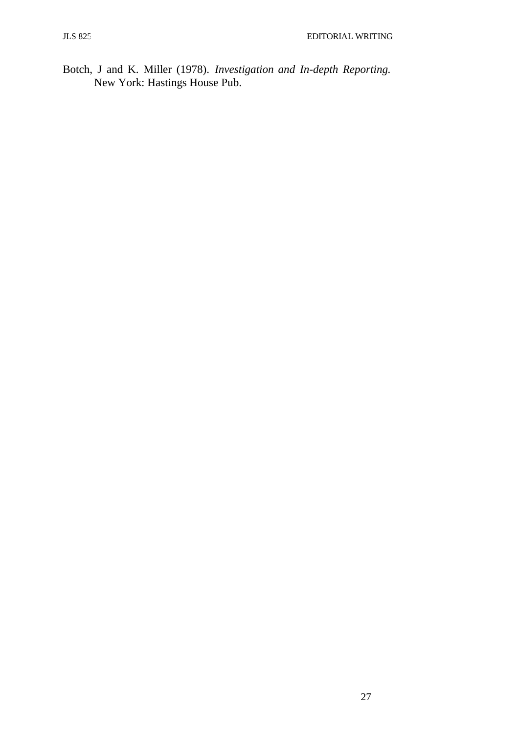Botch, J and K. Miller (1978). *Investigation and In-depth Reporting.* New York: Hastings House Pub.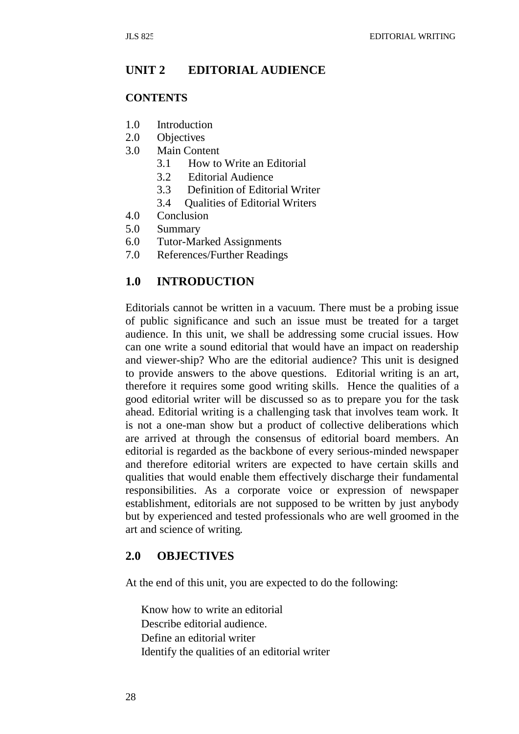#### **UNIT 2 EDITORIAL AUDIENCE**

#### **CONTENTS**

- 1.0 Introduction
- 2.0 Objectives
- 3.0 Main Content
	- 3.1 How to Write an Editorial
	- 3.2 Editorial Audience
	- 3.3 Definition of Editorial Writer
	- 3.4 Qualities of Editorial Writers
- 4.0 Conclusion
- 5.0 Summary
- 6.0 Tutor-Marked Assignments
- 7.0 References/Further Readings

### **1.0 INTRODUCTION**

Editorials cannot be written in a vacuum. There must be a probing issue of public significance and such an issue must be treated for a target audience. In this unit, we shall be addressing some crucial issues. How can one write a sound editorial that would have an impact on readership and viewer-ship? Who are the editorial audience? This unit is designed to provide answers to the above questions. Editorial writing is an art, therefore it requires some good writing skills. Hence the qualities of a good editorial writer will be discussed so as to prepare you for the task ahead. Editorial writing is a challenging task that involves team work. It is not a one-man show but a product of collective deliberations which are arrived at through the consensus of editorial board members. An editorial is regarded as the backbone of every serious-minded newspaper and therefore editorial writers are expected to have certain skills and qualities that would enable them effectively discharge their fundamental responsibilities. As a corporate voice or expression of newspaper establishment, editorials are not supposed to be written by just anybody but by experienced and tested professionals who are well groomed in the art and science of writing.

#### **2.0 OBJECTIVES**

At the end of this unit, you are expected to do the following:

Know how to write an editorial Describe editorial audience. Define an editorial writer Identify the qualities of an editorial writer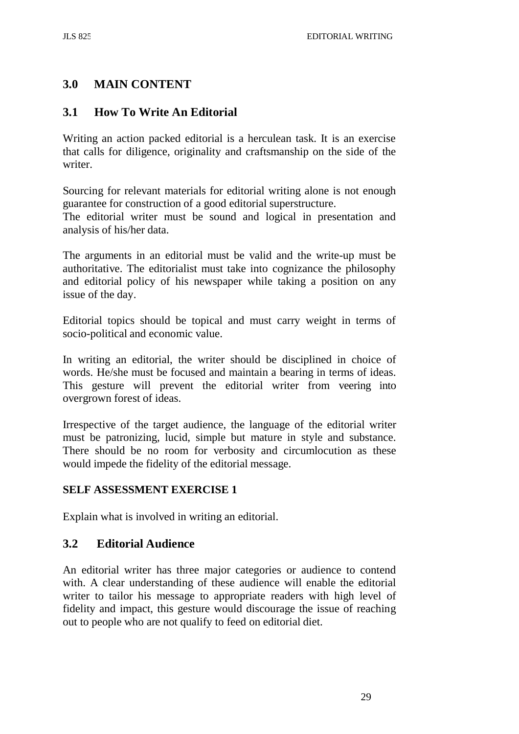### **3.0 MAIN CONTENT**

### **3.1 How To Write An Editorial**

Writing an action packed editorial is a herculean task. It is an exercise that calls for diligence, originality and craftsmanship on the side of the writer

Sourcing for relevant materials for editorial writing alone is not enough guarantee for construction of a good editorial superstructure.

The editorial writer must be sound and logical in presentation and analysis of his/her data.

The arguments in an editorial must be valid and the write-up must be authoritative. The editorialist must take into cognizance the philosophy and editorial policy of his newspaper while taking a position on any issue of the day.

Editorial topics should be topical and must carry weight in terms of socio-political and economic value.

In writing an editorial, the writer should be disciplined in choice of words. He/she must be focused and maintain a bearing in terms of ideas. This gesture will prevent the editorial writer from veering into overgrown forest of ideas.

Irrespective of the target audience, the language of the editorial writer must be patronizing, lucid, simple but mature in style and substance. There should be no room for verbosity and circumlocution as these would impede the fidelity of the editorial message.

### **SELF ASSESSMENT EXERCISE 1**

Explain what is involved in writing an editorial.

### **3.2 Editorial Audience**

An editorial writer has three major categories or audience to contend with. A clear understanding of these audience will enable the editorial writer to tailor his message to appropriate readers with high level of fidelity and impact, this gesture would discourage the issue of reaching out to people who are not qualify to feed on editorial diet.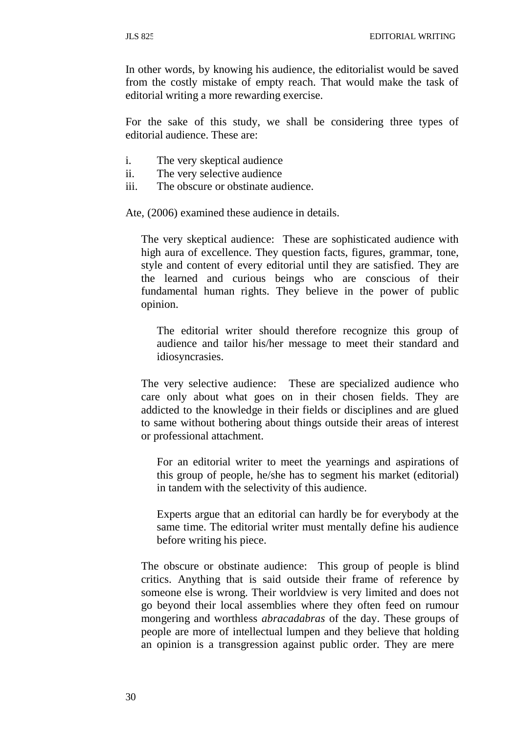JLS 825 EDITORIAL WRITING

In other words, by knowing his audience, the editorialist would be saved from the costly mistake of empty reach. That would make the task of editorial writing a more rewarding exercise.

For the sake of this study, we shall be considering three types of editorial audience. These are:

- i. The very skeptical audience
- ii. The very selective audience
- iii. The obscure or obstinate audience.

Ate, (2006) examined these audience in details.

The very skeptical audience: These are sophisticated audience with high aura of excellence. They question facts, figures, grammar, tone, style and content of every editorial until they are satisfied. They are the learned and curious beings who are conscious of their fundamental human rights. They believe in the power of public opinion.

The editorial writer should therefore recognize this group of audience and tailor his/her message to meet their standard and idiosyncrasies.

The very selective audience: These are specialized audience who care only about what goes on in their chosen fields. They are addicted to the knowledge in their fields or disciplines and are glued to same without bothering about things outside their areas of interest or professional attachment.

For an editorial writer to meet the yearnings and aspirations of this group of people, he/she has to segment his market (editorial) in tandem with the selectivity of this audience.

Experts argue that an editorial can hardly be for everybody at the same time. The editorial writer must mentally define his audience before writing his piece.

The obscure or obstinate audience: This group of people is blind critics. Anything that is said outside their frame of reference by someone else is wrong. Their worldview is very limited and does not go beyond their local assemblies where they often feed on rumour mongering and worthless *abracadabras* of the day. These groups of people are more of intellectual lumpen and they believe that holding an opinion is a transgression against public order. They are mere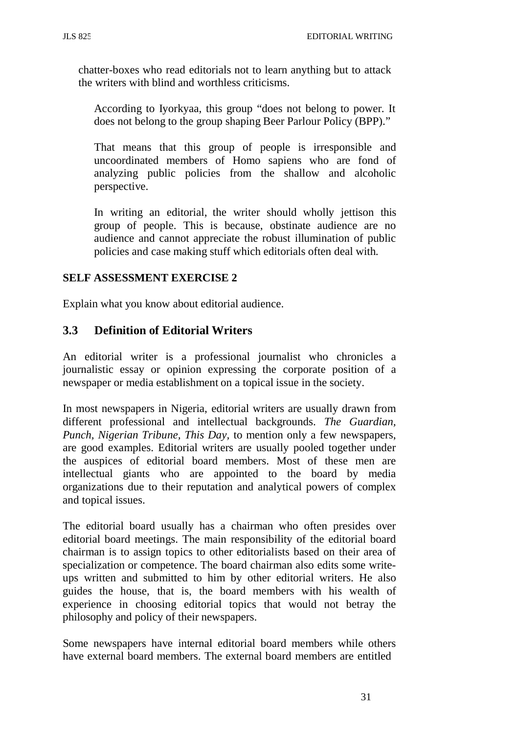chatter-boxes who read editorials not to learn anything but to attack the writers with blind and worthless criticisms.

According to Iyorkyaa, this group "does not belong to power. It does not belong to the group shaping Beer Parlour Policy (BPP)."

That means that this group of people is irresponsible and uncoordinated members of Homo sapiens who are fond of analyzing public policies from the shallow and alcoholic perspective.

In writing an editorial, the writer should wholly jettison this group of people. This is because, obstinate audience are no audience and cannot appreciate the robust illumination of public policies and case making stuff which editorials often deal with.

### **SELF ASSESSMENT EXERCISE 2**

Explain what you know about editorial audience.

## **3.3 Definition of Editorial Writers**

An editorial writer is a professional journalist who chronicles a journalistic essay or opinion expressing the corporate position of a newspaper or media establishment on a topical issue in the society.

In most newspapers in Nigeria, editorial writers are usually drawn from different professional and intellectual backgrounds. *The Guardian, Punch, Nigerian Tribune, This Day,* to mention only a few newspapers, are good examples. Editorial writers are usually pooled together under the auspices of editorial board members. Most of these men are intellectual giants who are appointed to the board by media organizations due to their reputation and analytical powers of complex and topical issues.

The editorial board usually has a chairman who often presides over editorial board meetings. The main responsibility of the editorial board chairman is to assign topics to other editorialists based on their area of specialization or competence. The board chairman also edits some writeups written and submitted to him by other editorial writers. He also guides the house, that is, the board members with his wealth of experience in choosing editorial topics that would not betray the philosophy and policy of their newspapers.

Some newspapers have internal editorial board members while others have external board members. The external board members are entitled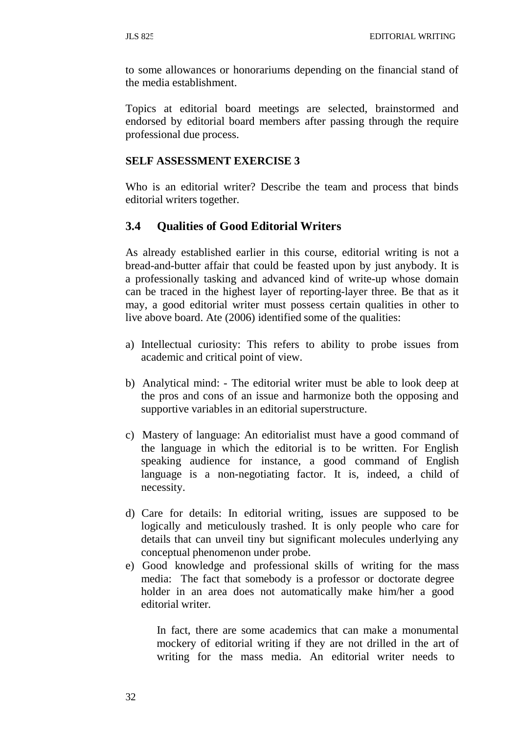to some allowances or honorariums depending on the financial stand of the media establishment.

Topics at editorial board meetings are selected, brainstormed and endorsed by editorial board members after passing through the require professional due process.

#### **SELF ASSESSMENT EXERCISE 3**

Who is an editorial writer? Describe the team and process that binds editorial writers together.

#### **3.4 Qualities of Good Editorial Writers**

As already established earlier in this course, editorial writing is not a bread-and-butter affair that could be feasted upon by just anybody. It is a professionally tasking and advanced kind of write-up whose domain can be traced in the highest layer of reporting-layer three. Be that as it may, a good editorial writer must possess certain qualities in other to live above board. Ate (2006) identified some of the qualities:

- a) Intellectual curiosity: This refers to ability to probe issues from academic and critical point of view.
- b) Analytical mind: The editorial writer must be able to look deep at the pros and cons of an issue and harmonize both the opposing and supportive variables in an editorial superstructure.
- c) Mastery of language: An editorialist must have a good command of the language in which the editorial is to be written. For English speaking audience for instance, a good command of English language is a non-negotiating factor. It is, indeed, a child of necessity.
- d) Care for details: In editorial writing, issues are supposed to be logically and meticulously trashed. It is only people who care for details that can unveil tiny but significant molecules underlying any conceptual phenomenon under probe.
- e) Good knowledge and professional skills of writing for the mass media: The fact that somebody is a professor or doctorate degree holder in an area does not automatically make him/her a good editorial writer.

In fact, there are some academics that can make a monumental mockery of editorial writing if they are not drilled in the art of writing for the mass media. An editorial writer needs to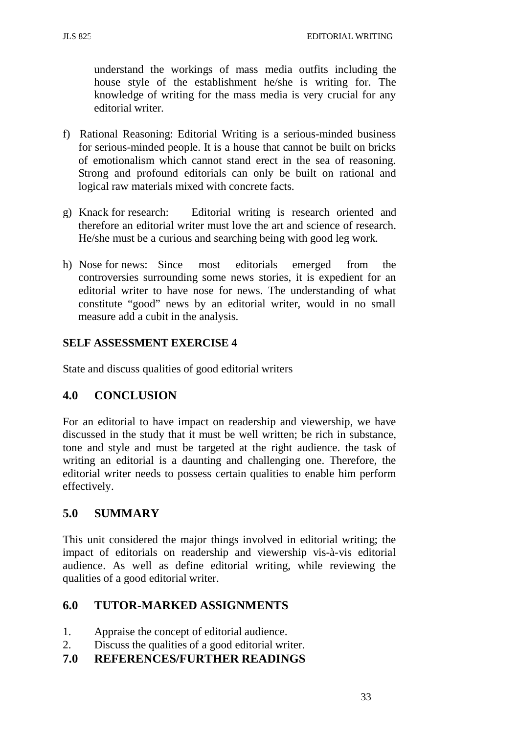understand the workings of mass media outfits including the house style of the establishment he/she is writing for. The knowledge of writing for the mass media is very crucial for any editorial writer.

- f) Rational Reasoning: Editorial Writing is a serious-minded business for serious-minded people. It is a house that cannot be built on bricks of emotionalism which cannot stand erect in the sea of reasoning. Strong and profound editorials can only be built on rational and logical raw materials mixed with concrete facts.
- g) Knack for research: Editorial writing is research oriented and therefore an editorial writer must love the art and science of research. He/she must be a curious and searching being with good leg work.
- h) Nose for news: Since most editorials emerged from the controversies surrounding some news stories, it is expedient for an editorial writer to have nose for news. The understanding of what constitute "good" news by an editorial writer, would in no small measure add a cubit in the analysis.

### **SELF ASSESSMENT EXERCISE 4**

State and discuss qualities of good editorial writers

## **4.0 CONCLUSION**

For an editorial to have impact on readership and viewership, we have discussed in the study that it must be well written; be rich in substance, tone and style and must be targeted at the right audience. the task of writing an editorial is a daunting and challenging one. Therefore, the editorial writer needs to possess certain qualities to enable him perform effectively.

## **5.0 SUMMARY**

This unit considered the major things involved in editorial writing; the impact of editorials on readership and viewership vis-à-vis editorial audience. As well as define editorial writing, while reviewing the qualities of a good editorial writer.

## **6.0 TUTOR-MARKED ASSIGNMENTS**

- 1. Appraise the concept of editorial audience.
- 2. Discuss the qualities of a good editorial writer.
- **7.0 REFERENCES/FURTHER READINGS**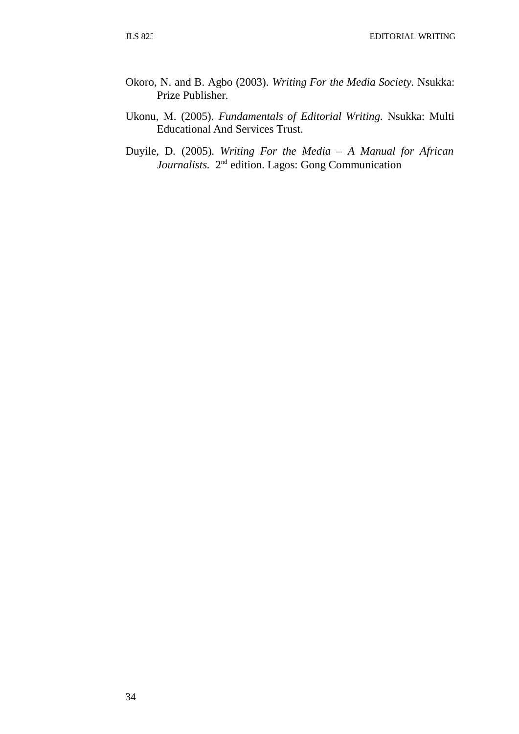- Okoro, N. and B. Agbo (2003). *Writing For the Media Society.* Nsukka: Prize Publisher.
- Ukonu, M. (2005). *Fundamentals of Editorial Writing.* Nsukka: Multi Educational And Services Trust.
- Duyile, D. (2005). *Writing For the Media A Manual for African Journalists.* 2nd edition. Lagos: Gong Communication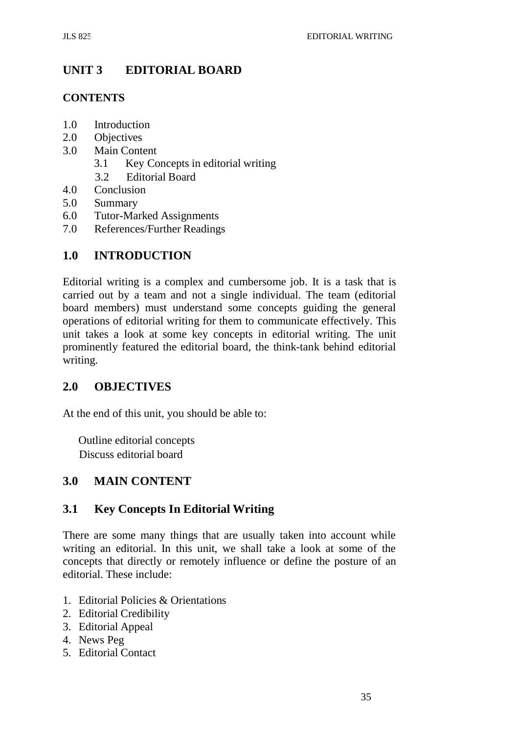# **UNIT 3 EDITORIAL BOARD**

### **CONTENTS**

- 1.0 Introduction
- 2.0 Objectives
- 3.0 Main Content
	- 3.1 Key Concepts in editorial writing
	- 3.2 Editorial Board
- 4.0 Conclusion
- 5.0 Summary
- 6.0 Tutor-Marked Assignments
- 7.0 References/Further Readings

# **1.0 INTRODUCTION**

Editorial writing is a complex and cumbersome job. It is a task that is carried out by a team and not a single individual. The team (editorial board members) must understand some concepts guiding the general operations of editorial writing for them to communicate effectively. This unit takes a look at some key concepts in editorial writing. The unit prominently featured the editorial board, the think-tank behind editorial writing.

## **2.0 OBJECTIVES**

At the end of this unit, you should be able to:

Outline editorial concepts Discuss editorial board

## **3.0 MAIN CONTENT**

# **3.1 Key Concepts In Editorial Writing**

There are some many things that are usually taken into account while writing an editorial. In this unit, we shall take a look at some of the concepts that directly or remotely influence or define the posture of an editorial. These include:

- 1. Editorial Policies & Orientations
- 2. Editorial Credibility
- 3. Editorial Appeal
- 4. News Peg
- 5. Editorial Contact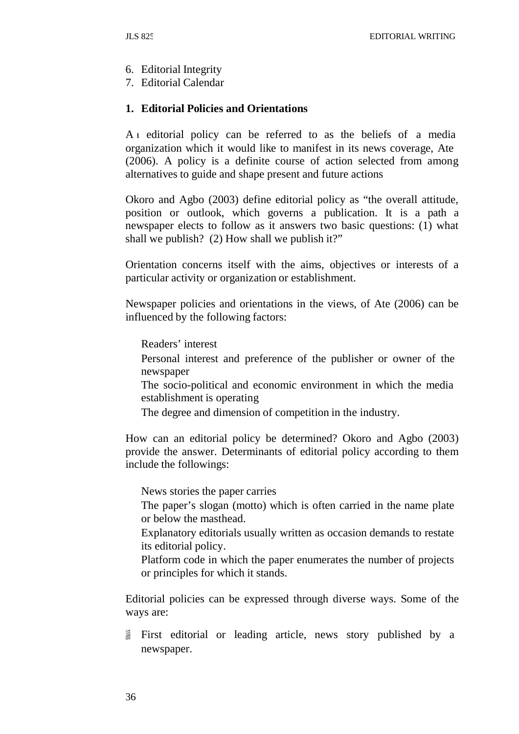- 6. Editorial Integrity
- 7. Editorial Calendar

#### **1. Editorial Policies and Orientations**

A n editorial policy can be referred to as the beliefs of a media organization which it would like to manifest in its news coverage, Ate (2006). A policy is a definite course of action selected from among alternatives to guide and shape present and future actions

Okoro and Agbo (2003) define editorial policy as "the overall attitude, position or outlook, which governs a publication. It is a path a newspaper elects to follow as it answers two basic questions: (1) what shall we publish? (2) How shall we publish it?"

Orientation concerns itself with the aims, objectives or interests of a particular activity or organization or establishment.

Newspaper policies and orientations in the views, of Ate (2006) can be influenced by the following factors:

Readers' interest

Personal interest and preference of the publisher or owner of the newspaper

The socio-political and economic environment in which the media establishment is operating

The degree and dimension of competition in the industry.

How can an editorial policy be determined? Okoro and Agbo (2003) provide the answer. Determinants of editorial policy according to them include the followings:

News stories the paper carries

The paper's slogan (motto) which is often carried in the name plate or below the masthead.

Explanatory editorials usually written as occasion demands to restate its editorial policy.

Platform code in which the paper enumerates the number of projects or principles for which it stands.

Editorial policies can be expressed through diverse ways. Some of the ways are:

**Example 3** First editorial or leading article, news story published by a newspaper.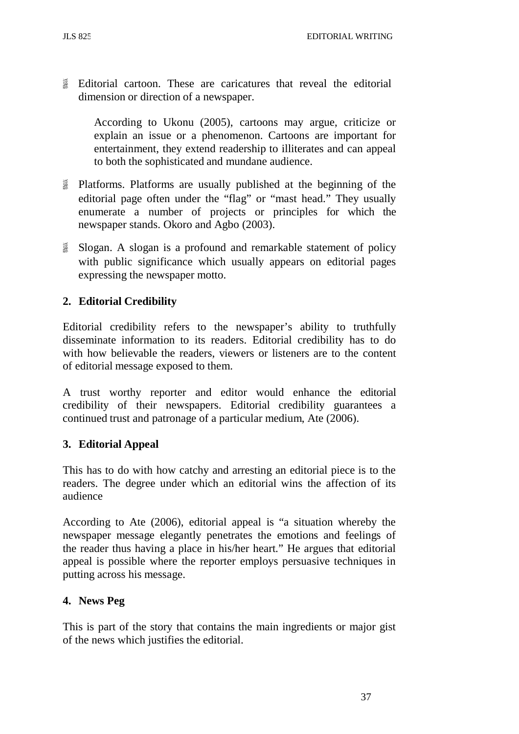Editorial cartoon. These are caricatures that reveal the editorial dimension or direction of a newspaper.

According to Ukonu (2005), cartoons may argue, criticize or explain an issue or a phenomenon. Cartoons are important for entertainment, they extend readership to illiterates and can appeal to both the sophisticated and mundane audience.

- **EXECUTE:** Platforms. Platforms are usually published at the beginning of the editorial page often under the "flag" or "mast head." They usually enumerate a number of projects or principles for which the newspaper stands. Okoro and Agbo (2003).
- Slogan. A slogan is a profound and remarkable statement of policy with public significance which usually appears on editorial pages expressing the newspaper motto.

### **2. Editorial Credibility**

Editorial credibility refers to the newspaper's ability to truthfully disseminate information to its readers. Editorial credibility has to do with how believable the readers, viewers or listeners are to the content of editorial message exposed to them.

A trust worthy reporter and editor would enhance the editorial credibility of their newspapers. Editorial credibility guarantees a continued trust and patronage of a particular medium, Ate (2006).

### **3. Editorial Appeal**

This has to do with how catchy and arresting an editorial piece is to the readers. The degree under which an editorial wins the affection of its audience

According to Ate (2006), editorial appeal is "a situation whereby the newspaper message elegantly penetrates the emotions and feelings of the reader thus having a place in his/her heart." He argues that editorial appeal is possible where the reporter employs persuasive techniques in putting across his message.

### **4. News Peg**

This is part of the story that contains the main ingredients or major gist of the news which justifies the editorial.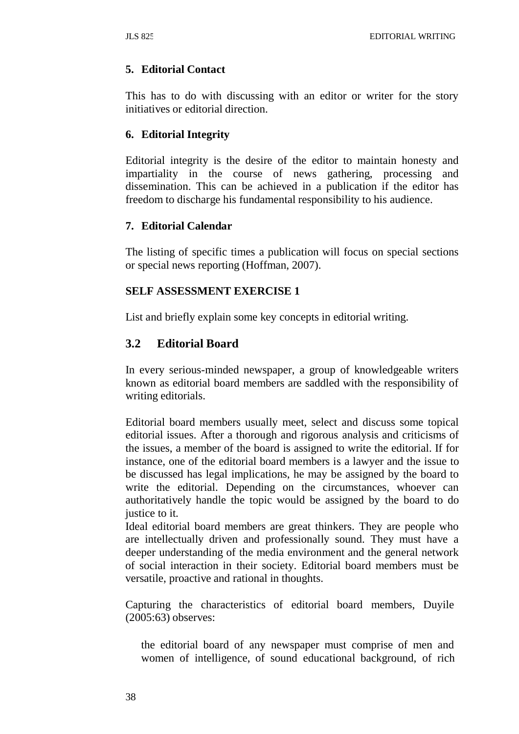### **5. Editorial Contact**

This has to do with discussing with an editor or writer for the story initiatives or editorial direction.

#### **6. Editorial Integrity**

Editorial integrity is the desire of the editor to maintain honesty and impartiality in the course of news gathering, processing and dissemination. This can be achieved in a publication if the editor has freedom to discharge his fundamental responsibility to his audience.

#### **7. Editorial Calendar**

The listing of specific times a publication will focus on special sections or special news reporting (Hoffman, 2007).

### **SELF ASSESSMENT EXERCISE 1**

List and briefly explain some key concepts in editorial writing.

### **3.2 Editorial Board**

In every serious-minded newspaper, a group of knowledgeable writers known as editorial board members are saddled with the responsibility of writing editorials.

Editorial board members usually meet, select and discuss some topical editorial issues. After a thorough and rigorous analysis and criticisms of the issues, a member of the board is assigned to write the editorial. If for instance, one of the editorial board members is a lawyer and the issue to be discussed has legal implications, he may be assigned by the board to write the editorial. Depending on the circumstances, whoever can authoritatively handle the topic would be assigned by the board to do justice to it.

Ideal editorial board members are great thinkers. They are people who are intellectually driven and professionally sound. They must have a deeper understanding of the media environment and the general network of social interaction in their society. Editorial board members must be versatile, proactive and rational in thoughts.

Capturing the characteristics of editorial board members, Duyile (2005:63) observes:

the editorial board of any newspaper must comprise of men and women of intelligence, of sound educational background, of rich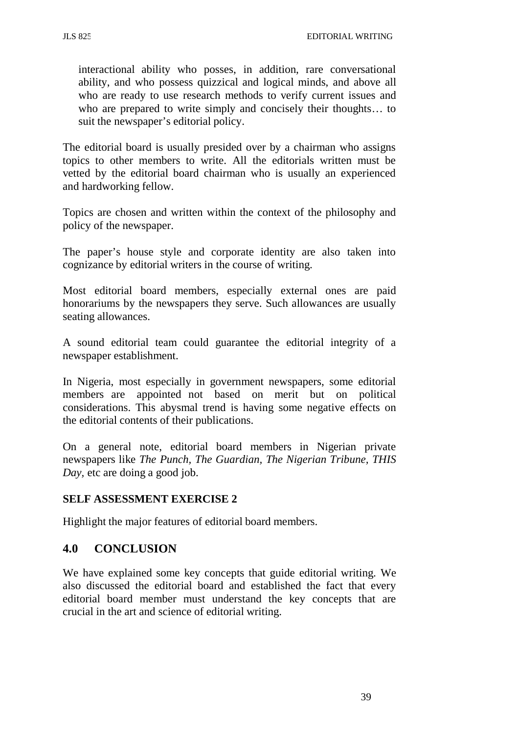interactional ability who posses, in addition, rare conversational ability, and who possess quizzical and logical minds, and above all who are ready to use research methods to verify current issues and who are prepared to write simply and concisely their thoughts… to suit the newspaper's editorial policy.

The editorial board is usually presided over by a chairman who assigns topics to other members to write. All the editorials written must be vetted by the editorial board chairman who is usually an experienced and hardworking fellow.

Topics are chosen and written within the context of the philosophy and policy of the newspaper.

The paper's house style and corporate identity are also taken into cognizance by editorial writers in the course of writing.

Most editorial board members, especially external ones are paid honorariums by the newspapers they serve. Such allowances are usually seating allowances.

A sound editorial team could guarantee the editorial integrity of a newspaper establishment.

In Nigeria, most especially in government newspapers, some editorial members are appointed not based on merit but on political considerations. This abysmal trend is having some negative effects on the editorial contents of their publications.

On a general note, editorial board members in Nigerian private newspapers like *The Punch, The Guardian, The Nigerian Tribune, THIS Day,* etc are doing a good job.

### **SELF ASSESSMENT EXERCISE 2**

Highlight the major features of editorial board members.

### **4.0 CONCLUSION**

We have explained some key concepts that guide editorial writing. We also discussed the editorial board and established the fact that every editorial board member must understand the key concepts that are crucial in the art and science of editorial writing.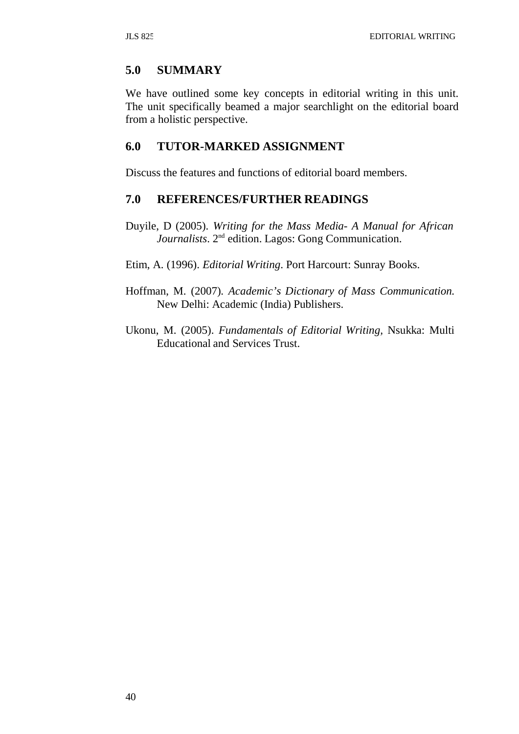### **5.0 SUMMARY**

We have outlined some key concepts in editorial writing in this unit. The unit specifically beamed a major searchlight on the editorial board from a holistic perspective.

#### **6.0 TUTOR-MARKED ASSIGNMENT**

Discuss the features and functions of editorial board members.

### **7.0 REFERENCES/FURTHER READINGS**

- Duyile, D (2005). *Writing for the Mass Media- A Manual for African Journalists*. 2nd edition. Lagos: Gong Communication.
- Etim, A. (1996). *Editorial Writing*. Port Harcourt: Sunray Books.
- Hoffman, M. (2007). *Academic's Dictionary of Mass Communication.* New Delhi: Academic (India) Publishers.
- Ukonu, M. (2005). *Fundamentals of Editorial Writing,* Nsukka: Multi Educational and Services Trust.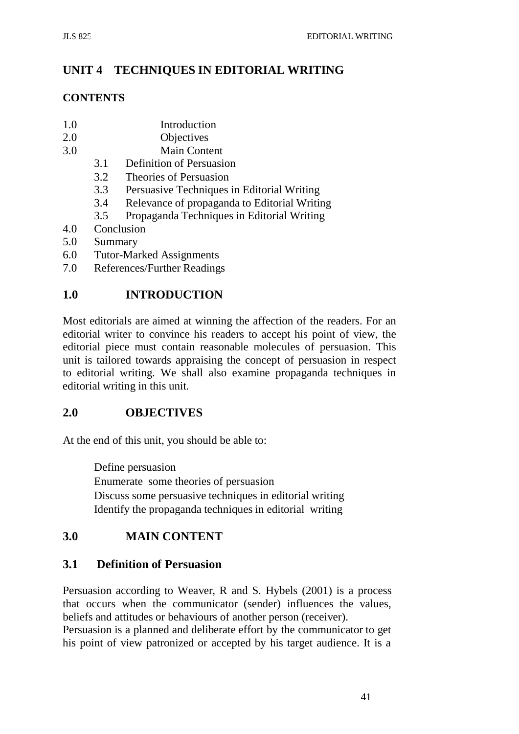# **UNIT 4 TECHNIQUES IN EDITORIAL WRITING**

### **CONTENTS**

- 2.0 Objectives
- 3.0 Main Content
	- 3.1 Definition of Persuasion
		- 3.2 Theories of Persuasion
		- 3.3 Persuasive Techniques in Editorial Writing
		- 3.4 Relevance of propaganda to Editorial Writing
		- 3.5 Propaganda Techniques in Editorial Writing
- 4.0 Conclusion
- 5.0 Summary
- 6.0 Tutor-Marked Assignments
- 7.0 References/Further Readings

## **1.0 INTRODUCTION**

Most editorials are aimed at winning the affection of the readers. For an editorial writer to convince his readers to accept his point of view, the editorial piece must contain reasonable molecules of persuasion. This unit is tailored towards appraising the concept of persuasion in respect to editorial writing. We shall also examine propaganda techniques in editorial writing in this unit.

## **2.0 OBJECTIVES**

At the end of this unit, you should be able to:

Define persuasion Enumerate some theories of persuasion Discuss some persuasive techniques in editorial writing Identify the propaganda techniques in editorial writing

# **3.0 MAIN CONTENT**

## **3.1 Definition of Persuasion**

Persuasion according to Weaver, R and S. Hybels (2001) is a process that occurs when the communicator (sender) influences the values, beliefs and attitudes or behaviours of another person (receiver).

Persuasion is a planned and deliberate effort by the communicator to get his point of view patronized or accepted by his target audience. It is a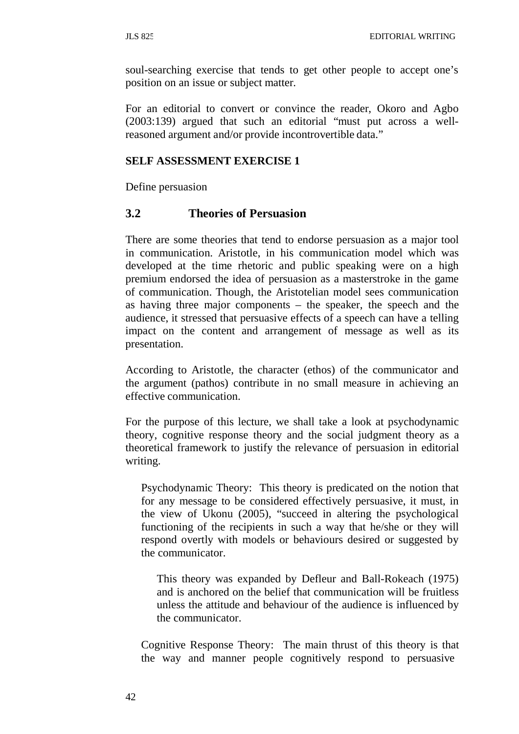soul-searching exercise that tends to get other people to accept one's position on an issue or subject matter.

For an editorial to convert or convince the reader, Okoro and Agbo (2003:139) argued that such an editorial "must put across a wellreasoned argument and/or provide incontrovertible data."

#### **SELF ASSESSMENT EXERCISE 1**

Define persuasion

#### **3.2 Theories of Persuasion**

There are some theories that tend to endorse persuasion as a major tool in communication. Aristotle, in his communication model which was developed at the time rhetoric and public speaking were on a high premium endorsed the idea of persuasion as a masterstroke in the game of communication. Though, the Aristotelian model sees communication as having three major components – the speaker, the speech and the audience, it stressed that persuasive effects of a speech can have a telling impact on the content and arrangement of message as well as its presentation.

According to Aristotle, the character (ethos) of the communicator and the argument (pathos) contribute in no small measure in achieving an effective communication.

For the purpose of this lecture, we shall take a look at psychodynamic theory, cognitive response theory and the social judgment theory as a theoretical framework to justify the relevance of persuasion in editorial writing.

Psychodynamic Theory: This theory is predicated on the notion that for any message to be considered effectively persuasive, it must, in the view of Ukonu (2005), "succeed in altering the psychological functioning of the recipients in such a way that he/she or they will respond overtly with models or behaviours desired or suggested by the communicator.

This theory was expanded by Defleur and Ball-Rokeach (1975) and is anchored on the belief that communication will be fruitless unless the attitude and behaviour of the audience is influenced by the communicator.

Cognitive Response Theory: The main thrust of this theory is that the way and manner people cognitively respond to persuasive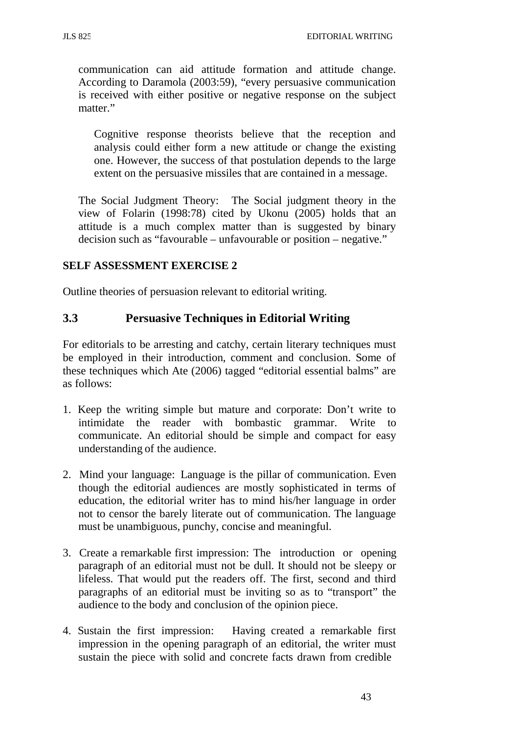JLS 825 EDITORIAL WRITING

communication can aid attitude formation and attitude change. According to Daramola (2003:59), "every persuasive communication is received with either positive or negative response on the subject matter."

Cognitive response theorists believe that the reception and analysis could either form a new attitude or change the existing one. However, the success of that postulation depends to the large extent on the persuasive missiles that are contained in a message.

The Social Judgment Theory: The Social judgment theory in the view of Folarin (1998:78) cited by Ukonu (2005) holds that an attitude is a much complex matter than is suggested by binary decision such as "favourable – unfavourable or position – negative."

### **SELF ASSESSMENT EXERCISE 2**

Outline theories of persuasion relevant to editorial writing.

### **3.3 Persuasive Techniques in Editorial Writing**

For editorials to be arresting and catchy, certain literary techniques must be employed in their introduction, comment and conclusion. Some of these techniques which Ate (2006) tagged "editorial essential balms" are as follows:

- 1. Keep the writing simple but mature and corporate: Don't write to intimidate the reader with bombastic grammar. Write to communicate. An editorial should be simple and compact for easy understanding of the audience.
- 2. Mind your language: Language is the pillar of communication. Even though the editorial audiences are mostly sophisticated in terms of education, the editorial writer has to mind his/her language in order not to censor the barely literate out of communication. The language must be unambiguous, punchy, concise and meaningful.
- 3. Create a remarkable first impression: The introduction or opening paragraph of an editorial must not be dull. It should not be sleepy or lifeless. That would put the readers off. The first, second and third paragraphs of an editorial must be inviting so as to "transport" the audience to the body and conclusion of the opinion piece.
- 4. Sustain the first impression: Having created a remarkable first impression in the opening paragraph of an editorial, the writer must sustain the piece with solid and concrete facts drawn from credible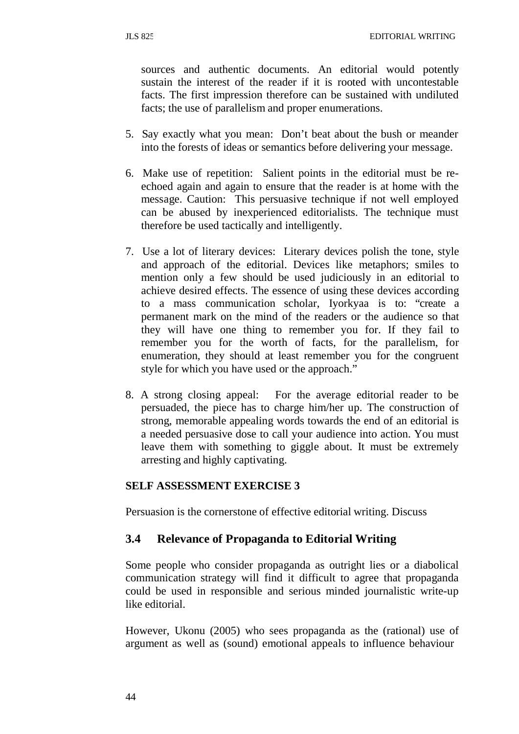sources and authentic documents. An editorial would potently sustain the interest of the reader if it is rooted with uncontestable facts. The first impression therefore can be sustained with undiluted facts; the use of parallelism and proper enumerations.

- 5. Say exactly what you mean: Don't beat about the bush or meander into the forests of ideas or semantics before delivering your message.
- 6. Make use of repetition: Salient points in the editorial must be reechoed again and again to ensure that the reader is at home with the message. Caution: This persuasive technique if not well employed can be abused by inexperienced editorialists. The technique must therefore be used tactically and intelligently.
- 7. Use a lot of literary devices: Literary devices polish the tone, style and approach of the editorial. Devices like metaphors; smiles to mention only a few should be used judiciously in an editorial to achieve desired effects. The essence of using these devices according to a mass communication scholar, Iyorkyaa is to: "create a permanent mark on the mind of the readers or the audience so that they will have one thing to remember you for. If they fail to remember you for the worth of facts, for the parallelism, for enumeration, they should at least remember you for the congruent style for which you have used or the approach."
- 8. A strong closing appeal: For the average editorial reader to be persuaded, the piece has to charge him/her up. The construction of strong, memorable appealing words towards the end of an editorial is a needed persuasive dose to call your audience into action. You must leave them with something to giggle about. It must be extremely arresting and highly captivating.

### **SELF ASSESSMENT EXERCISE 3**

Persuasion is the cornerstone of effective editorial writing. Discuss

## **3.4 Relevance of Propaganda to Editorial Writing**

Some people who consider propaganda as outright lies or a diabolical communication strategy will find it difficult to agree that propaganda could be used in responsible and serious minded journalistic write-up like editorial.

However, Ukonu (2005) who sees propaganda as the (rational) use of argument as well as (sound) emotional appeals to influence behaviour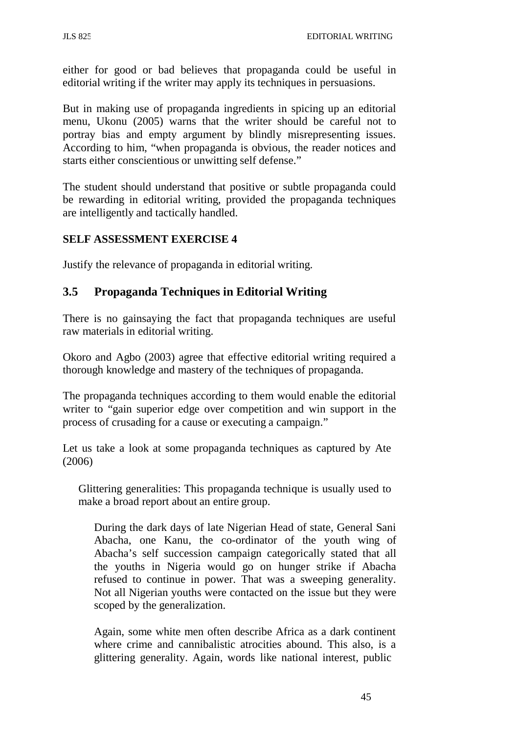either for good or bad believes that propaganda could be useful in editorial writing if the writer may apply its techniques in persuasions.

But in making use of propaganda ingredients in spicing up an editorial menu, Ukonu (2005) warns that the writer should be careful not to portray bias and empty argument by blindly misrepresenting issues. According to him, "when propaganda is obvious, the reader notices and starts either conscientious or unwitting self defense."

The student should understand that positive or subtle propaganda could be rewarding in editorial writing, provided the propaganda techniques are intelligently and tactically handled.

## **SELF ASSESSMENT EXERCISE 4**

Justify the relevance of propaganda in editorial writing.

### **3.5 Propaganda Techniques in Editorial Writing**

There is no gainsaying the fact that propaganda techniques are useful raw materials in editorial writing.

Okoro and Agbo (2003) agree that effective editorial writing required a thorough knowledge and mastery of the techniques of propaganda.

The propaganda techniques according to them would enable the editorial writer to "gain superior edge over competition and win support in the process of crusading for a cause or executing a campaign."

Let us take a look at some propaganda techniques as captured by Ate (2006)

Glittering generalities: This propaganda technique is usually used to make a broad report about an entire group.

During the dark days of late Nigerian Head of state, General Sani Abacha, one Kanu, the co-ordinator of the youth wing of Abacha's self succession campaign categorically stated that all the youths in Nigeria would go on hunger strike if Abacha refused to continue in power. That was a sweeping generality. Not all Nigerian youths were contacted on the issue but they were scoped by the generalization.

Again, some white men often describe Africa as a dark continent where crime and cannibalistic atrocities abound. This also, is a glittering generality. Again, words like national interest, public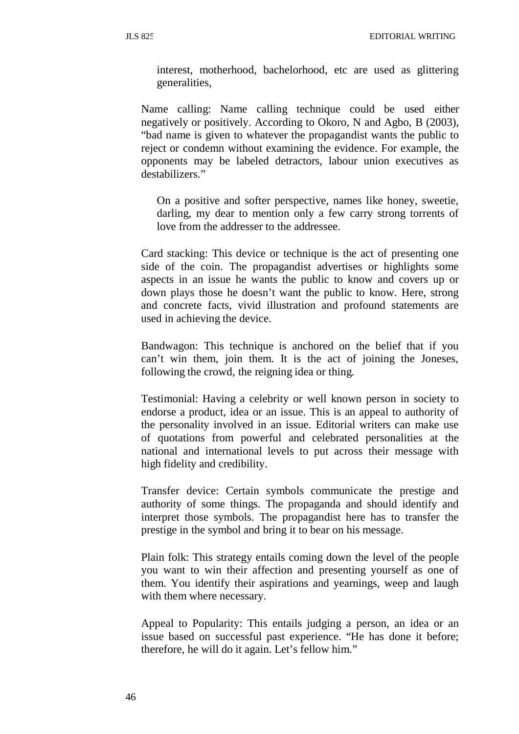Name calling: Name calling technique could be used either negatively or positively. According to Okoro, N and Agbo, B (2003), "bad name is given to whatever the propagandist wants the public to reject or condemn without examining the evidence. For example, the opponents may be labeled detractors, labour union executives as destabilizers."

On a positive and softer perspective, names like honey, sweetie, darling, my dear to mention only a few carry strong torrents of love from the addresser to the addressee.

Card stacking: This device or technique is the act of presenting one side of the coin. The propagandist advertises or highlights some aspects in an issue he wants the public to know and covers up or down plays those he doesn't want the public to know. Here, strong and concrete facts, vivid illustration and profound statements are used in achieving the device.

Bandwagon: This technique is anchored on the belief that if you can't win them, join them. It is the act of joining the Joneses, following the crowd, the reigning idea or thing.

Testimonial: Having a celebrity or well known person in society to endorse a product, idea or an issue. This is an appeal to authority of the personality involved in an issue. Editorial writers can make use of quotations from powerful and celebrated personalities at the national and international levels to put across their message with high fidelity and credibility.

Transfer device: Certain symbols communicate the prestige and authority of some things. The propaganda and should identify and interpret those symbols. The propagandist here has to transfer the prestige in the symbol and bring it to bear on his message.

Plain folk: This strategy entails coming down the level of the people you want to win their affection and presenting yourself as one of them. You identify their aspirations and yearnings, weep and laugh with them where necessary.

Appeal to Popularity: This entails judging a person, an idea or an issue based on successful past experience. "He has done it before; therefore, he will do it again. Let's fellow him."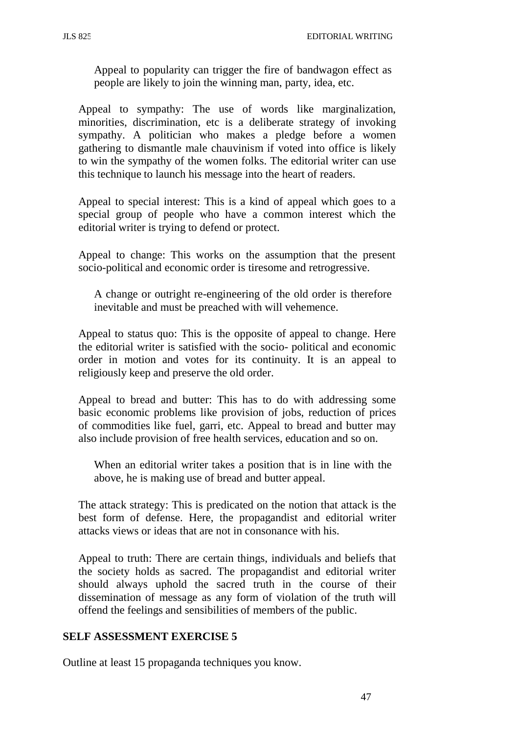JLS 825 EDITORIAL WRITING

Appeal to popularity can trigger the fire of bandwagon effect as people are likely to join the winning man, party, idea, etc.

Appeal to sympathy: The use of words like marginalization, minorities, discrimination, etc is a deliberate strategy of invoking sympathy. A politician who makes a pledge before a women gathering to dismantle male chauvinism if voted into office is likely to win the sympathy of the women folks. The editorial writer can use this technique to launch his message into the heart of readers.

Appeal to special interest: This is a kind of appeal which goes to a special group of people who have a common interest which the editorial writer is trying to defend or protect.

Appeal to change: This works on the assumption that the present socio-political and economic order is tiresome and retrogressive.

A change or outright re-engineering of the old order is therefore inevitable and must be preached with will vehemence.

Appeal to status quo: This is the opposite of appeal to change. Here the editorial writer is satisfied with the socio- political and economic order in motion and votes for its continuity. It is an appeal to religiously keep and preserve the old order.

Appeal to bread and butter: This has to do with addressing some basic economic problems like provision of jobs, reduction of prices of commodities like fuel, garri, etc. Appeal to bread and butter may also include provision of free health services, education and so on.

When an editorial writer takes a position that is in line with the above, he is making use of bread and butter appeal.

The attack strategy: This is predicated on the notion that attack is the best form of defense. Here, the propagandist and editorial writer attacks views or ideas that are not in consonance with his.

Appeal to truth: There are certain things, individuals and beliefs that the society holds as sacred. The propagandist and editorial writer should always uphold the sacred truth in the course of their dissemination of message as any form of violation of the truth will offend the feelings and sensibilities of members of the public.

#### **SELF ASSESSMENT EXERCISE 5**

Outline at least 15 propaganda techniques you know.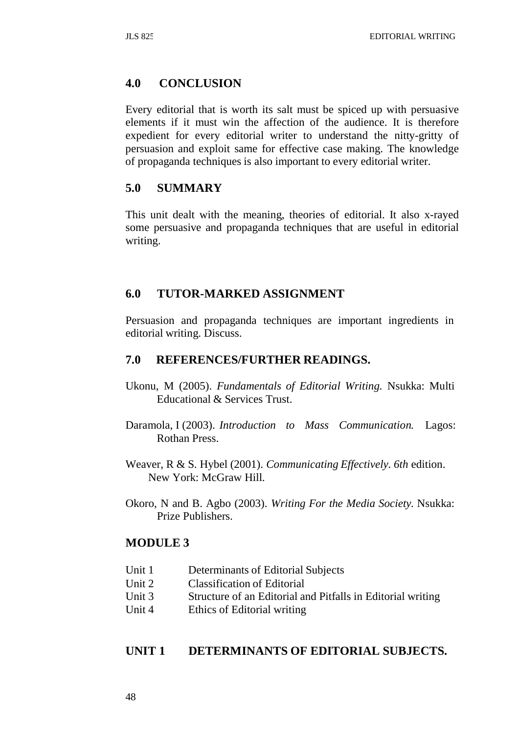### **4.0 CONCLUSION**

Every editorial that is worth its salt must be spiced up with persuasive elements if it must win the affection of the audience. It is therefore expedient for every editorial writer to understand the nitty-gritty of persuasion and exploit same for effective case making. The knowledge of propaganda techniques is also important to every editorial writer.

### **5.0 SUMMARY**

This unit dealt with the meaning, theories of editorial. It also x-rayed some persuasive and propaganda techniques that are useful in editorial writing.

#### **6.0 TUTOR-MARKED ASSIGNMENT**

Persuasion and propaganda techniques are important ingredients in editorial writing. Discuss.

#### **7.0 REFERENCES/FURTHER READINGS.**

- Ukonu, M (2005). *Fundamentals of Editorial Writing.* Nsukka: Multi Educational & Services Trust.
- Daramola, I (2003). *Introduction to Mass Communication.* Lagos: Rothan Press.
- Weaver, R & S. Hybel (2001). *Communicating Effectively. 6th* edition. New York: McGraw Hill.
- Okoro, N and B. Agbo (2003). *Writing For the Media Society.* Nsukka: Prize Publishers.

#### **MODULE 3**

- Unit 1 Determinants of Editorial Subjects
- Unit 2 Classification of Editorial
- Unit 3 Structure of an Editorial and Pitfalls in Editorial writing
- Unit 4 Ethics of Editorial writing

#### **UNIT 1 DETERMINANTS OF EDITORIAL SUBJECTS.**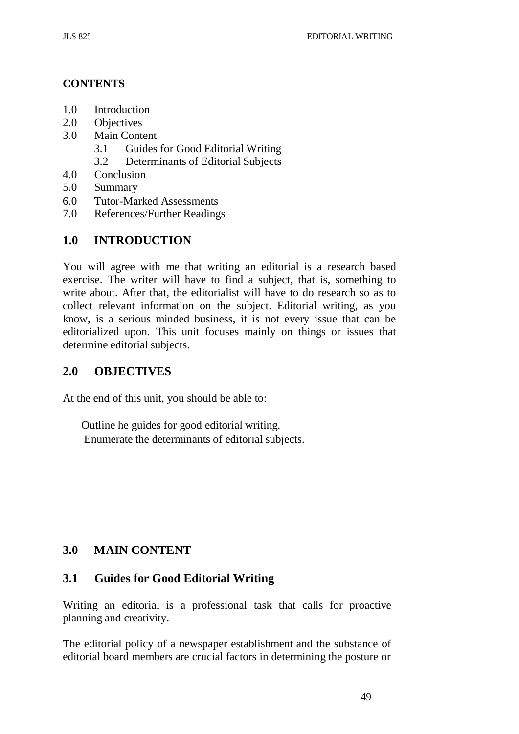#### **CONTENTS**

- 1.0 Introduction
- 2.0 Objectives
- 3.0 Main Content
	- 3.1 Guides for Good Editorial Writing
	- 3.2 Determinants of Editorial Subjects
- 4.0 Conclusion
- 5.0 Summary
- 6.0 Tutor-Marked Assessments
- 7.0 References/Further Readings

### **1.0 INTRODUCTION**

You will agree with me that writing an editorial is a research based exercise. The writer will have to find a subject, that is, something to write about. After that, the editorialist will have to do research so as to collect relevant information on the subject. Editorial writing, as you know, is a serious minded business, it is not every issue that can be editorialized upon. This unit focuses mainly on things or issues that determine editorial subjects.

#### **2.0 OBJECTIVES**

At the end of this unit, you should be able to:

Outline he guides for good editorial writing. Enumerate the determinants of editorial subjects.

### **3.0 MAIN CONTENT**

### **3.1 Guides for Good Editorial Writing**

Writing an editorial is a professional task that calls for proactive planning and creativity.

The editorial policy of a newspaper establishment and the substance of editorial board members are crucial factors in determining the posture or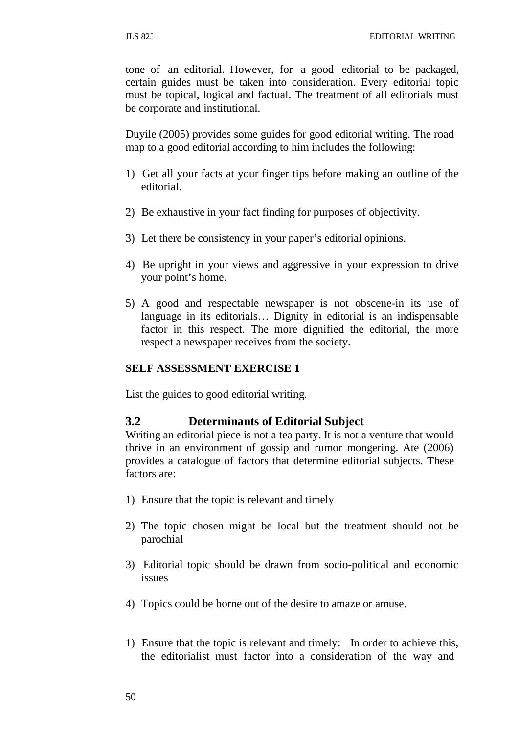tone of an editorial. However, for a good editorial to be packaged, certain guides must be taken into consideration. Every editorial topic must be topical, logical and factual. The treatment of all editorials must be corporate and institutional.

Duyile (2005) provides some guides for good editorial writing. The road map to a good editorial according to him includes the following:

- 1) Get all your facts at your finger tips before making an outline of the editorial.
- 2) Be exhaustive in your fact finding for purposes of objectivity.
- 3) Let there be consistency in your paper's editorial opinions.
- 4) Be upright in your views and aggressive in your expression to drive your point's home.
- 5) A good and respectable newspaper is not obscene-in its use of language in its editorials… Dignity in editorial is an indispensable factor in this respect. The more dignified the editorial, the more respect a newspaper receives from the society.

#### **SELF ASSESSMENT EXERCISE 1**

List the guides to good editorial writing.

### **3.2 Determinants of Editorial Subject**

Writing an editorial piece is not a tea party. It is not a venture that would thrive in an environment of gossip and rumor mongering. Ate (2006) provides a catalogue of factors that determine editorial subjects. These factors are:

- 1) Ensure that the topic is relevant and timely
- 2) The topic chosen might be local but the treatment should not be parochial
- 3) Editorial topic should be drawn from socio-political and economic issues
- 4) Topics could be borne out of the desire to amaze or amuse.
- 1) Ensure that the topic is relevant and timely: In order to achieve this, the editorialist must factor into a consideration of the way and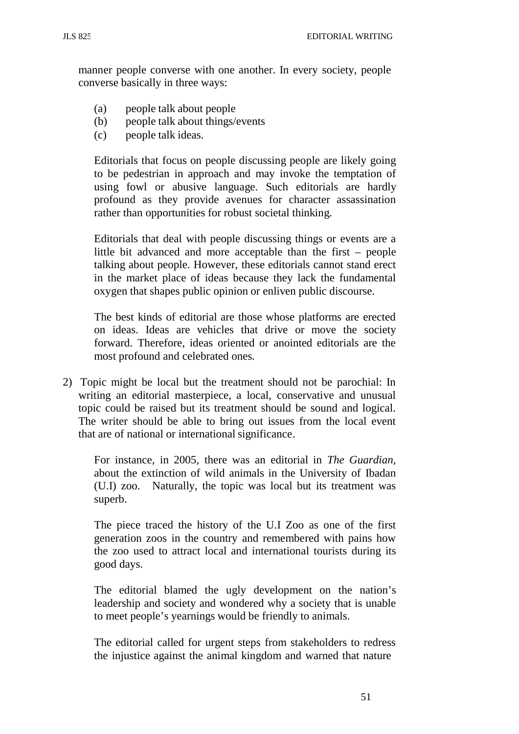manner people converse with one another. In every society, people converse basically in three ways:

- (a) people talk about people
- (b) people talk about things/events
- (c) people talk ideas.

Editorials that focus on people discussing people are likely going to be pedestrian in approach and may invoke the temptation of using fowl or abusive language. Such editorials are hardly profound as they provide avenues for character assassination rather than opportunities for robust societal thinking.

Editorials that deal with people discussing things or events are a little bit advanced and more acceptable than the first – people talking about people. However, these editorials cannot stand erect in the market place of ideas because they lack the fundamental oxygen that shapes public opinion or enliven public discourse.

The best kinds of editorial are those whose platforms are erected on ideas. Ideas are vehicles that drive or move the society forward. Therefore, ideas oriented or anointed editorials are the most profound and celebrated ones.

2) Topic might be local but the treatment should not be parochial: In writing an editorial masterpiece, a local, conservative and unusual topic could be raised but its treatment should be sound and logical. The writer should be able to bring out issues from the local event that are of national or international significance.

For instance, in 2005, there was an editorial in *The Guardian,*  about the extinction of wild animals in the University of Ibadan (U.I) zoo. Naturally, the topic was local but its treatment was superb.

The piece traced the history of the U.I Zoo as one of the first generation zoos in the country and remembered with pains how the zoo used to attract local and international tourists during its good days.

The editorial blamed the ugly development on the nation's leadership and society and wondered why a society that is unable to meet people's yearnings would be friendly to animals.

The editorial called for urgent steps from stakeholders to redress the injustice against the animal kingdom and warned that nature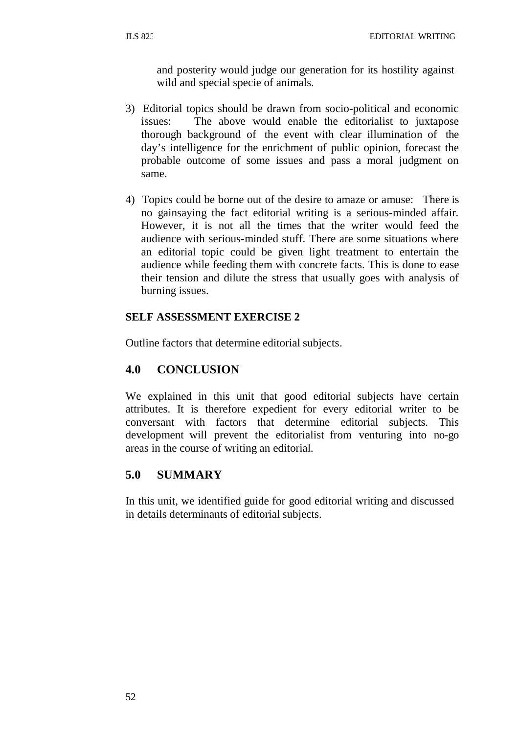and posterity would judge our generation for its hostility against wild and special specie of animals.

- 3) Editorial topics should be drawn from socio-political and economic issues: The above would enable the editorialist to juxtapose thorough background of the event with clear illumination of the day's intelligence for the enrichment of public opinion, forecast the probable outcome of some issues and pass a moral judgment on same.
- 4) Topics could be borne out of the desire to amaze or amuse: There is no gainsaying the fact editorial writing is a serious-minded affair. However, it is not all the times that the writer would feed the audience with serious-minded stuff. There are some situations where an editorial topic could be given light treatment to entertain the audience while feeding them with concrete facts. This is done to ease their tension and dilute the stress that usually goes with analysis of burning issues.

#### **SELF ASSESSMENT EXERCISE 2**

Outline factors that determine editorial subjects.

## **4.0 CONCLUSION**

We explained in this unit that good editorial subjects have certain attributes. It is therefore expedient for every editorial writer to be conversant with factors that determine editorial subjects. This development will prevent the editorialist from venturing into no-go areas in the course of writing an editorial.

## **5.0 SUMMARY**

In this unit, we identified guide for good editorial writing and discussed in details determinants of editorial subjects.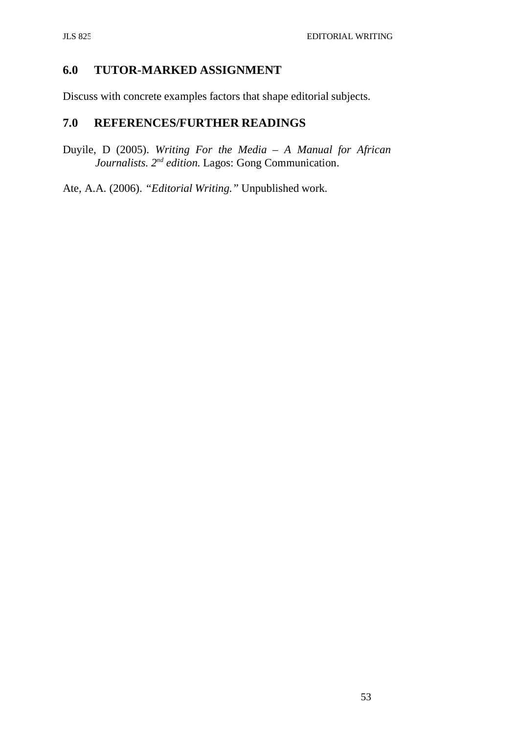## **6.0 TUTOR-MARKED ASSIGNMENT**

Discuss with concrete examples factors that shape editorial subjects.

## **7.0 REFERENCES/FURTHER READINGS**

Duyile, D (2005). *Writing For the Media – A Manual for African Journalists. 2nd edition.* Lagos: Gong Communication.

Ate, A.A. (2006). *"Editorial Writing."* Unpublished work.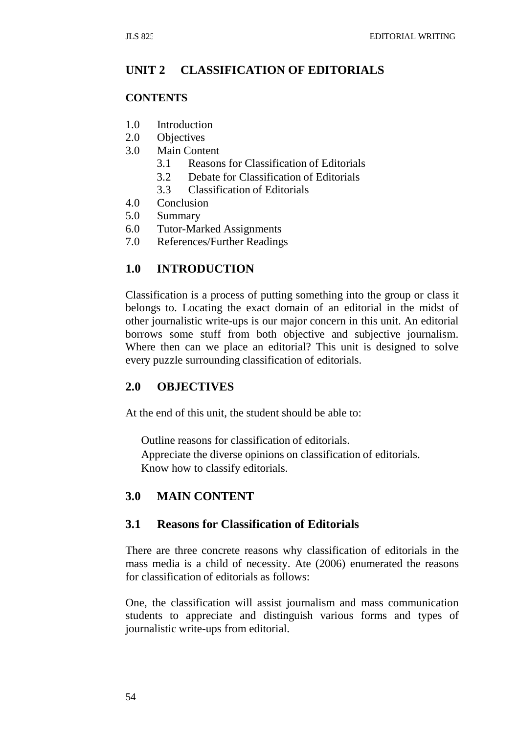### **UNIT 2 CLASSIFICATION OF EDITORIALS**

#### **CONTENTS**

- 1.0 Introduction
- 2.0 Objectives
- 3.0 Main Content
	- 3.1 Reasons for Classification of Editorials
	- 3.2 Debate for Classification of Editorials
	- 3.3 Classification of Editorials
- 4.0 Conclusion
- 5.0 Summary
- 6.0 Tutor-Marked Assignments
- 7.0 References/Further Readings

### **1.0 INTRODUCTION**

Classification is a process of putting something into the group or class it belongs to. Locating the exact domain of an editorial in the midst of other journalistic write-ups is our major concern in this unit. An editorial borrows some stuff from both objective and subjective journalism. Where then can we place an editorial? This unit is designed to solve every puzzle surrounding classification of editorials.

### **2.0 OBJECTIVES**

At the end of this unit, the student should be able to:

Outline reasons for classification of editorials.

Appreciate the diverse opinions on classification of editorials. Know how to classify editorials.

#### **3.0 MAIN CONTENT**

### **3.1 Reasons for Classification of Editorials**

There are three concrete reasons why classification of editorials in the mass media is a child of necessity. Ate (2006) enumerated the reasons for classification of editorials as follows:

One, the classification will assist journalism and mass communication students to appreciate and distinguish various forms and types of journalistic write-ups from editorial.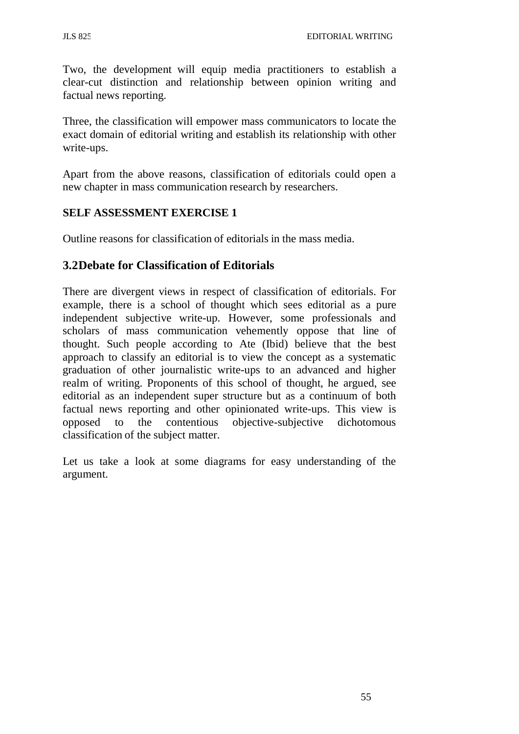Two, the development will equip media practitioners to establish a clear-cut distinction and relationship between opinion writing and factual news reporting.

Three, the classification will empower mass communicators to locate the exact domain of editorial writing and establish its relationship with other write-ups.

Apart from the above reasons, classification of editorials could open a new chapter in mass communication research by researchers.

#### **SELF ASSESSMENT EXERCISE 1**

Outline reasons for classification of editorials in the mass media.

### **3.2Debate for Classification of Editorials**

There are divergent views in respect of classification of editorials. For example, there is a school of thought which sees editorial as a pure independent subjective write-up. However, some professionals and scholars of mass communication vehemently oppose that line of thought. Such people according to Ate (Ibid) believe that the best approach to classify an editorial is to view the concept as a systematic graduation of other journalistic write-ups to an advanced and higher realm of writing. Proponents of this school of thought, he argued, see editorial as an independent super structure but as a continuum of both factual news reporting and other opinionated write-ups. This view is opposed to the contentious objective-subjective dichotomous classification of the subject matter.

Let us take a look at some diagrams for easy understanding of the argument.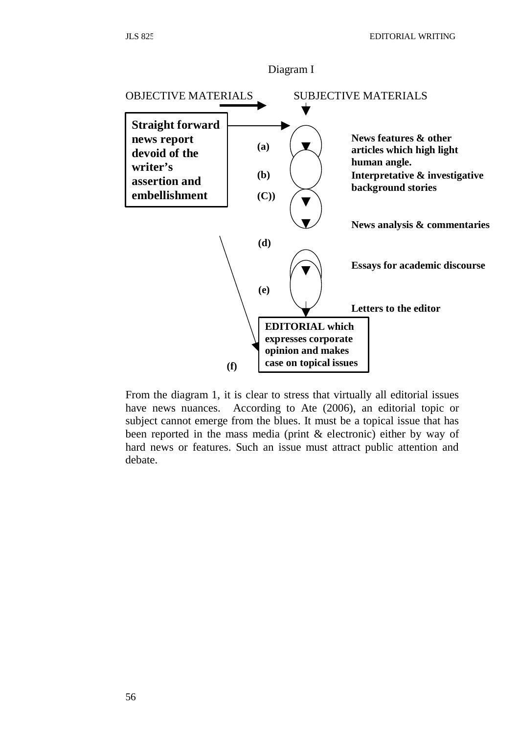

From the diagram 1, it is clear to stress that virtually all editorial issues have news nuances. According to Ate (2006), an editorial topic or subject cannot emerge from the blues. It must be a topical issue that has been reported in the mass media (print & electronic) either by way of hard news or features. Such an issue must attract public attention and debate.

56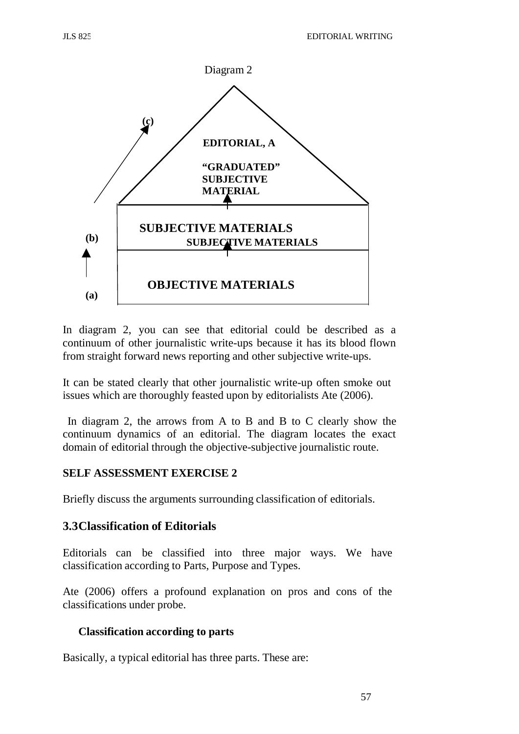

In diagram 2, you can see that editorial could be described as a continuum of other journalistic write-ups because it has its blood flown from straight forward news reporting and other subjective write-ups.

It can be stated clearly that other journalistic write-up often smoke out issues which are thoroughly feasted upon by editorialists Ate (2006).

In diagram 2, the arrows from A to B and B to C clearly show the continuum dynamics of an editorial. The diagram locates the exact domain of editorial through the objective-subjective journalistic route.

#### **SELF ASSESSMENT EXERCISE 2**

Briefly discuss the arguments surrounding classification of editorials.

#### **3.3Classification of Editorials**

Editorials can be classified into three major ways. We have classification according to Parts, Purpose and Types.

Ate (2006) offers a profound explanation on pros and cons of the classifications under probe.

#### **Classification according to parts**

Basically, a typical editorial has three parts. These are: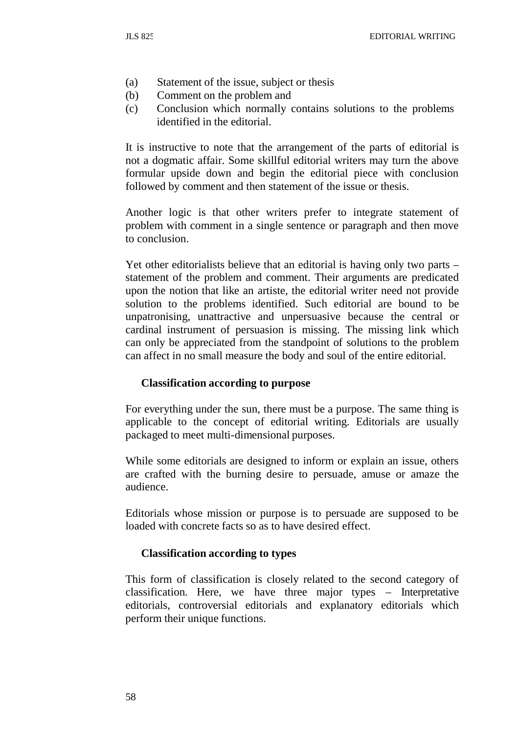- (a) Statement of the issue, subject or thesis
- (b) Comment on the problem and
- (c) Conclusion which normally contains solutions to the problems identified in the editorial.

It is instructive to note that the arrangement of the parts of editorial is not a dogmatic affair. Some skillful editorial writers may turn the above formular upside down and begin the editorial piece with conclusion followed by comment and then statement of the issue or thesis.

Another logic is that other writers prefer to integrate statement of problem with comment in a single sentence or paragraph and then move to conclusion.

Yet other editorialists believe that an editorial is having only two parts – statement of the problem and comment. Their arguments are predicated upon the notion that like an artiste, the editorial writer need not provide solution to the problems identified. Such editorial are bound to be unpatronising, unattractive and unpersuasive because the central or cardinal instrument of persuasion is missing. The missing link which can only be appreciated from the standpoint of solutions to the problem can affect in no small measure the body and soul of the entire editorial.

#### **Classification according to purpose**

For everything under the sun, there must be a purpose. The same thing is applicable to the concept of editorial writing. Editorials are usually packaged to meet multi-dimensional purposes.

While some editorials are designed to inform or explain an issue, others are crafted with the burning desire to persuade, amuse or amaze the audience.

Editorials whose mission or purpose is to persuade are supposed to be loaded with concrete facts so as to have desired effect.

#### **Classification according to types**

This form of classification is closely related to the second category of classification. Here, we have three major types – Interpretative editorials, controversial editorials and explanatory editorials which perform their unique functions.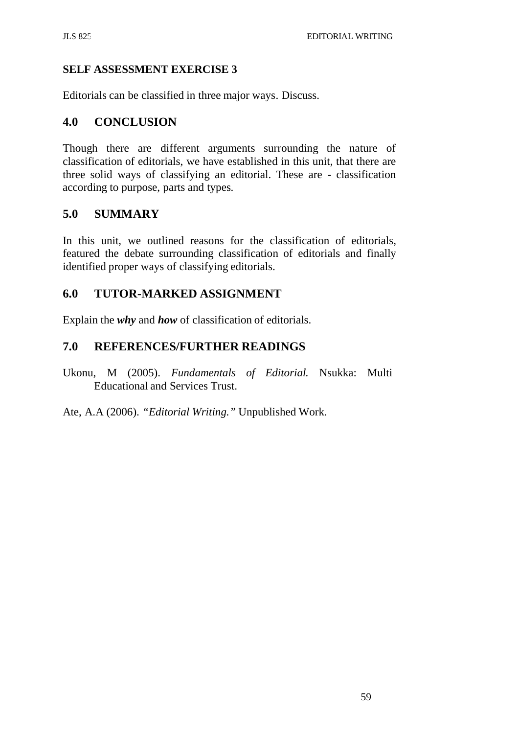### **SELF ASSESSMENT EXERCISE 3**

Editorials can be classified in three major ways. Discuss.

## **4.0 CONCLUSION**

Though there are different arguments surrounding the nature of classification of editorials, we have established in this unit, that there are three solid ways of classifying an editorial. These are - classification according to purpose, parts and types.

### **5.0 SUMMARY**

In this unit, we outlined reasons for the classification of editorials, featured the debate surrounding classification of editorials and finally identified proper ways of classifying editorials.

### **6.0 TUTOR-MARKED ASSIGNMENT**

Explain the *why* and *how* of classification of editorials.

## **7.0 REFERENCES/FURTHER READINGS**

Ukonu, M (2005). *Fundamentals of Editorial.* Nsukka: Multi Educational and Services Trust.

Ate, A.A (2006). *"Editorial Writing."* Unpublished Work.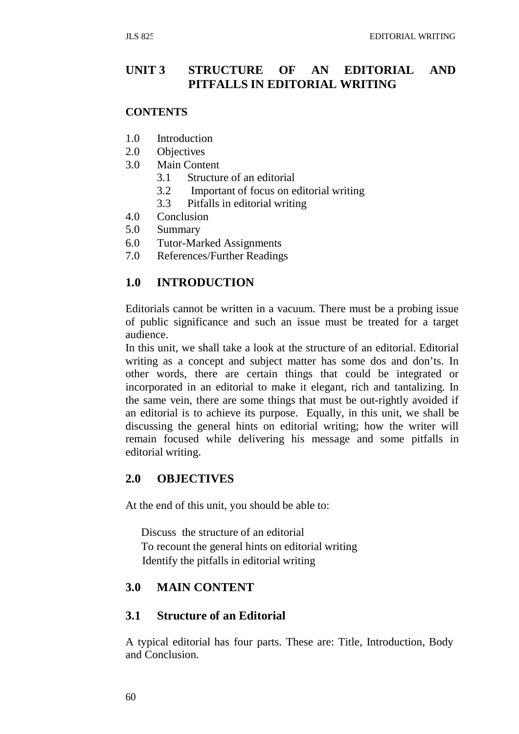## **UNIT 3 STRUCTURE OF AN EDITORIAL AND PITFALLS IN EDITORIAL WRITING**

#### **CONTENTS**

- 1.0 Introduction
- 2.0 Objectives
- 3.0 Main Content
	- 3.1 Structure of an editorial
	- 3.2 Important of focus on editorial writing
	- 3.3 Pitfalls in editorial writing
- 4.0 Conclusion
- 5.0 Summary
- 6.0 Tutor-Marked Assignments
- 7.0 References/Further Readings

### **1.0 INTRODUCTION**

Editorials cannot be written in a vacuum. There must be a probing issue of public significance and such an issue must be treated for a target audience.

In this unit, we shall take a look at the structure of an editorial. Editorial writing as a concept and subject matter has some dos and don'ts. In other words, there are certain things that could be integrated or incorporated in an editorial to make it elegant, rich and tantalizing. In the same vein, there are some things that must be out-rightly avoided if an editorial is to achieve its purpose. Equally, in this unit, we shall be discussing the general hints on editorial writing; how the writer will remain focused while delivering his message and some pitfalls in editorial writing.

### **2.0 OBJECTIVES**

At the end of this unit, you should be able to:

Discuss the structure of an editorial To recount the general hints on editorial writing Identify the pitfalls in editorial writing

## **3.0 MAIN CONTENT**

### **3.1 Structure of an Editorial**

A typical editorial has four parts. These are: Title, Introduction, Body and Conclusion.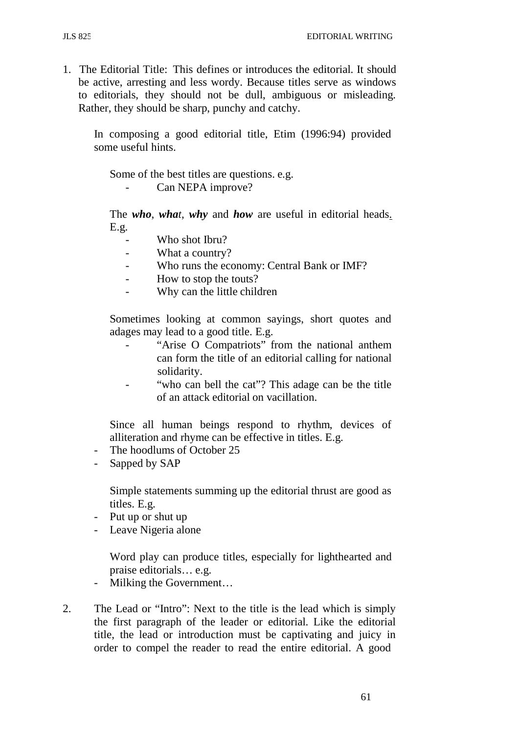1. The Editorial Title: This defines or introduces the editorial. It should be active, arresting and less wordy. Because titles serve as windows to editorials, they should not be dull, ambiguous or misleading. Rather, they should be sharp, punchy and catchy.

In composing a good editorial title, Etim (1996:94) provided some useful hints.

Some of the best titles are questions. e.g.

Can NEPA improve?

The *who*, *what*, *why* and *how* are useful in editorial heads. E.g.

- Who shot Ibru?
- What a country?
- Who runs the economy: Central Bank or IMF?
- How to stop the touts?
- Why can the little children

Sometimes looking at common sayings, short quotes and adages may lead to a good title. E.g.

- "Arise O Compatriots" from the national anthem can form the title of an editorial calling for national solidarity.
- "who can bell the cat"? This adage can be the title of an attack editorial on vacillation.

Since all human beings respond to rhythm, devices of alliteration and rhyme can be effective in titles. E.g.

- The hoodlums of October 25
- Sapped by SAP

Simple statements summing up the editorial thrust are good as titles. E.g.

- Put up or shut up
- Leave Nigeria alone

Word play can produce titles, especially for lighthearted and praise editorials… e.g.

- Milking the Government…
- 2. The Lead or "Intro": Next to the title is the lead which is simply the first paragraph of the leader or editorial. Like the editorial title, the lead or introduction must be captivating and juicy in order to compel the reader to read the entire editorial. A good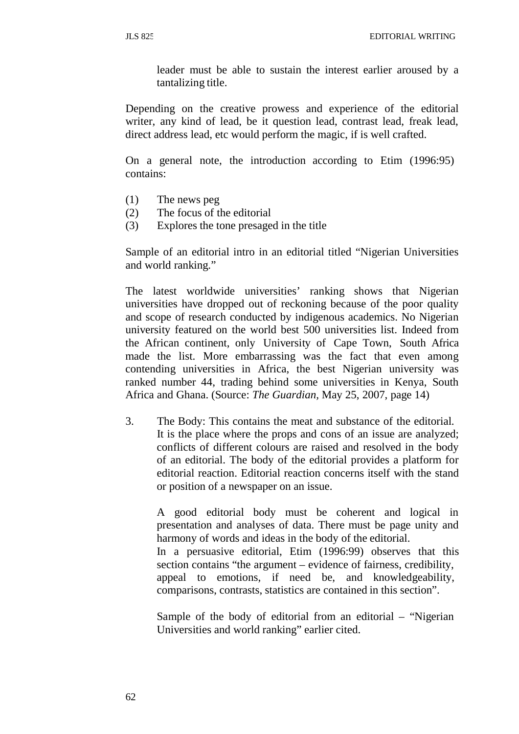leader must be able to sustain the interest earlier aroused by a tantalizing title.

Depending on the creative prowess and experience of the editorial writer, any kind of lead, be it question lead, contrast lead, freak lead, direct address lead, etc would perform the magic, if is well crafted.

On a general note, the introduction according to Etim (1996:95) contains:

- (1) The news peg
- (2) The focus of the editorial
- (3) Explores the tone presaged in the title

Sample of an editorial intro in an editorial titled "Nigerian Universities and world ranking."

The latest worldwide universities' ranking shows that Nigerian universities have dropped out of reckoning because of the poor quality and scope of research conducted by indigenous academics. No Nigerian university featured on the world best 500 universities list. Indeed from the African continent, only University of Cape Town, South Africa made the list. More embarrassing was the fact that even among contending universities in Africa, the best Nigerian university was ranked number 44, trading behind some universities in Kenya, South Africa and Ghana. (Source: *The Guardian,* May 25, 2007, page 14)

3. The Body: This contains the meat and substance of the editorial. It is the place where the props and cons of an issue are analyzed; conflicts of different colours are raised and resolved in the body of an editorial. The body of the editorial provides a platform for editorial reaction. Editorial reaction concerns itself with the stand or position of a newspaper on an issue.

A good editorial body must be coherent and logical in presentation and analyses of data. There must be page unity and harmony of words and ideas in the body of the editorial. In a persuasive editorial, Etim (1996:99) observes that this section contains "the argument – evidence of fairness, credibility, appeal to emotions, if need be, and knowledgeability,

comparisons, contrasts, statistics are contained in this section".

Sample of the body of editorial from an editorial – "Nigerian Universities and world ranking" earlier cited.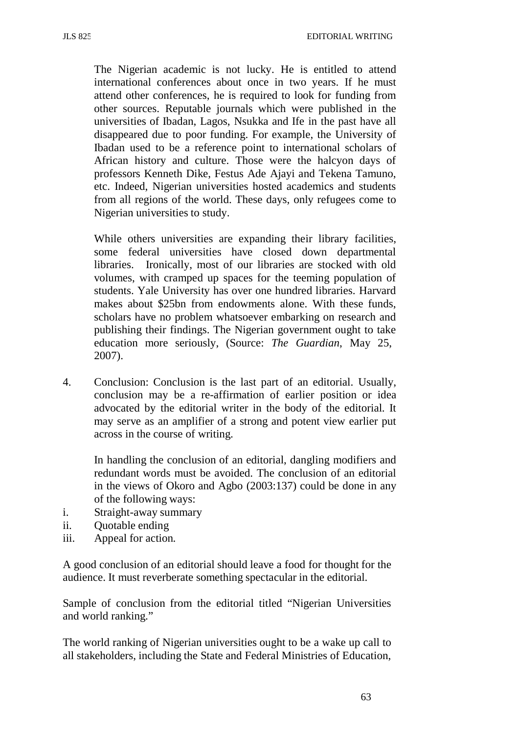The Nigerian academic is not lucky. He is entitled to attend international conferences about once in two years. If he must attend other conferences, he is required to look for funding from other sources. Reputable journals which were published in the universities of Ibadan, Lagos, Nsukka and Ife in the past have all disappeared due to poor funding. For example, the University of Ibadan used to be a reference point to international scholars of African history and culture. Those were the halcyon days of professors Kenneth Dike, Festus Ade Ajayi and Tekena Tamuno, etc. Indeed, Nigerian universities hosted academics and students from all regions of the world. These days, only refugees come to Nigerian universities to study.

While others universities are expanding their library facilities, some federal universities have closed down departmental libraries. Ironically, most of our libraries are stocked with old volumes, with cramped up spaces for the teeming population of students. Yale University has over one hundred libraries. Harvard makes about \$25bn from endowments alone. With these funds, scholars have no problem whatsoever embarking on research and publishing their findings. The Nigerian government ought to take education more seriously, (Source: *The Guardian*, May 25, 2007).

4. Conclusion: Conclusion is the last part of an editorial. Usually, conclusion may be a re-affirmation of earlier position or idea advocated by the editorial writer in the body of the editorial. It may serve as an amplifier of a strong and potent view earlier put across in the course of writing.

In handling the conclusion of an editorial, dangling modifiers and redundant words must be avoided. The conclusion of an editorial in the views of Okoro and Agbo (2003:137) could be done in any of the following ways:

- i. Straight-away summary
- ii. Quotable ending
- iii. Appeal for action.

A good conclusion of an editorial should leave a food for thought for the audience. It must reverberate something spectacular in the editorial.

Sample of conclusion from the editorial titled "Nigerian Universities and world ranking."

The world ranking of Nigerian universities ought to be a wake up call to all stakeholders, including the State and Federal Ministries of Education,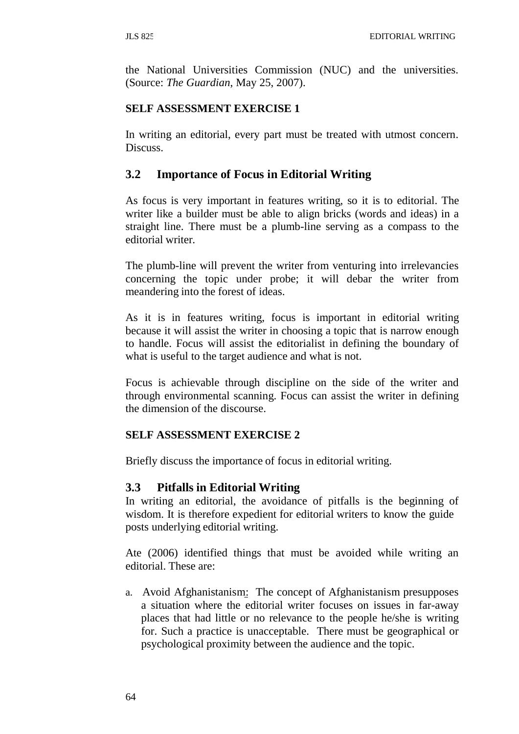the National Universities Commission (NUC) and the universities. (Source: *The Guardian*, May 25, 2007).

### **SELF ASSESSMENT EXERCISE 1**

In writing an editorial, every part must be treated with utmost concern. Discuss.

## **3.2 Importance of Focus in Editorial Writing**

As focus is very important in features writing, so it is to editorial. The writer like a builder must be able to align bricks (words and ideas) in a straight line. There must be a plumb-line serving as a compass to the editorial writer.

The plumb-line will prevent the writer from venturing into irrelevancies concerning the topic under probe; it will debar the writer from meandering into the forest of ideas.

As it is in features writing, focus is important in editorial writing because it will assist the writer in choosing a topic that is narrow enough to handle. Focus will assist the editorialist in defining the boundary of what is useful to the target audience and what is not.

Focus is achievable through discipline on the side of the writer and through environmental scanning. Focus can assist the writer in defining the dimension of the discourse.

### **SELF ASSESSMENT EXERCISE 2**

Briefly discuss the importance of focus in editorial writing.

### **3.3 Pitfalls in Editorial Writing**

In writing an editorial, the avoidance of pitfalls is the beginning of wisdom. It is therefore expedient for editorial writers to know the guide posts underlying editorial writing.

Ate (2006) identified things that must be avoided while writing an editorial. These are:

a. Avoid Afghanistanism: The concept of Afghanistanism presupposes a situation where the editorial writer focuses on issues in far-away places that had little or no relevance to the people he/she is writing for. Such a practice is unacceptable. There must be geographical or psychological proximity between the audience and the topic.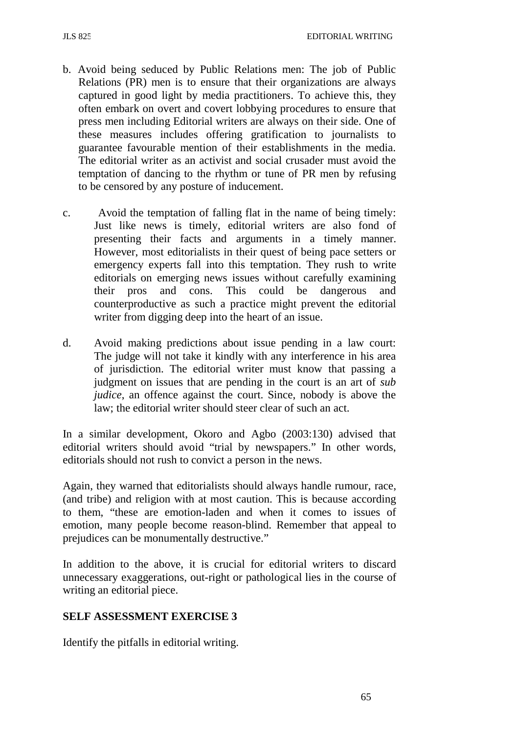- 
- b. Avoid being seduced by Public Relations men: The job of Public Relations (PR) men is to ensure that their organizations are always captured in good light by media practitioners. To achieve this, they often embark on overt and covert lobbying procedures to ensure that press men including Editorial writers are always on their side. One of these measures includes offering gratification to journalists to guarantee favourable mention of their establishments in the media. The editorial writer as an activist and social crusader must avoid the temptation of dancing to the rhythm or tune of PR men by refusing to be censored by any posture of inducement.
- c. Avoid the temptation of falling flat in the name of being timely: Just like news is timely, editorial writers are also fond of presenting their facts and arguments in a timely manner. However, most editorialists in their quest of being pace setters or emergency experts fall into this temptation. They rush to write editorials on emerging news issues without carefully examining their pros and cons. This could be dangerous and counterproductive as such a practice might prevent the editorial writer from digging deep into the heart of an issue.
- d. Avoid making predictions about issue pending in a law court: The judge will not take it kindly with any interference in his area of jurisdiction. The editorial writer must know that passing a judgment on issues that are pending in the court is an art of *sub judice*, an offence against the court. Since, nobody is above the law; the editorial writer should steer clear of such an act.

In a similar development, Okoro and Agbo (2003:130) advised that editorial writers should avoid "trial by newspapers." In other words, editorials should not rush to convict a person in the news.

Again, they warned that editorialists should always handle rumour, race, (and tribe) and religion with at most caution. This is because according to them, "these are emotion-laden and when it comes to issues of emotion, many people become reason-blind. Remember that appeal to prejudices can be monumentally destructive."

In addition to the above, it is crucial for editorial writers to discard unnecessary exaggerations, out-right or pathological lies in the course of writing an editorial piece.

## **SELF ASSESSMENT EXERCISE 3**

Identify the pitfalls in editorial writing.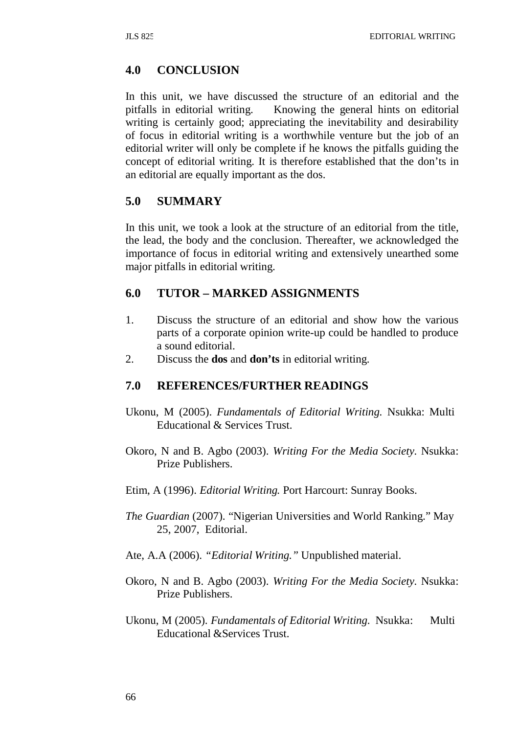### **4.0 CONCLUSION**

In this unit, we have discussed the structure of an editorial and the pitfalls in editorial writing. Knowing the general hints on editorial writing is certainly good; appreciating the inevitability and desirability of focus in editorial writing is a worthwhile venture but the job of an editorial writer will only be complete if he knows the pitfalls guiding the concept of editorial writing. It is therefore established that the don'ts in an editorial are equally important as the dos.

#### **5.0 SUMMARY**

In this unit, we took a look at the structure of an editorial from the title, the lead, the body and the conclusion. Thereafter, we acknowledged the importance of focus in editorial writing and extensively unearthed some major pitfalls in editorial writing.

### **6.0 TUTOR – MARKED ASSIGNMENTS**

- 1. Discuss the structure of an editorial and show how the various parts of a corporate opinion write-up could be handled to produce a sound editorial.
- 2. Discuss the **dos** and **don'ts** in editorial writing.

### **7.0 REFERENCES/FURTHER READINGS**

- Ukonu, M (2005). *Fundamentals of Editorial Writing.* Nsukka: Multi Educational & Services Trust.
- Okoro, N and B. Agbo (2003). *Writing For the Media Society.* Nsukka: Prize Publishers.
- Etim, A (1996). *Editorial Writing.* Port Harcourt: Sunray Books.
- *The Guardian* (2007). "Nigerian Universities and World Ranking." May 25, 2007, Editorial.
- Ate, A.A (2006). *"Editorial Writing."* Unpublished material.
- Okoro, N and B. Agbo (2003). *Writing For the Media Society.* Nsukka: Prize Publishers.
- Ukonu, M (2005). *Fundamentals of Editorial Writing.* Nsukka: Multi Educational &Services Trust.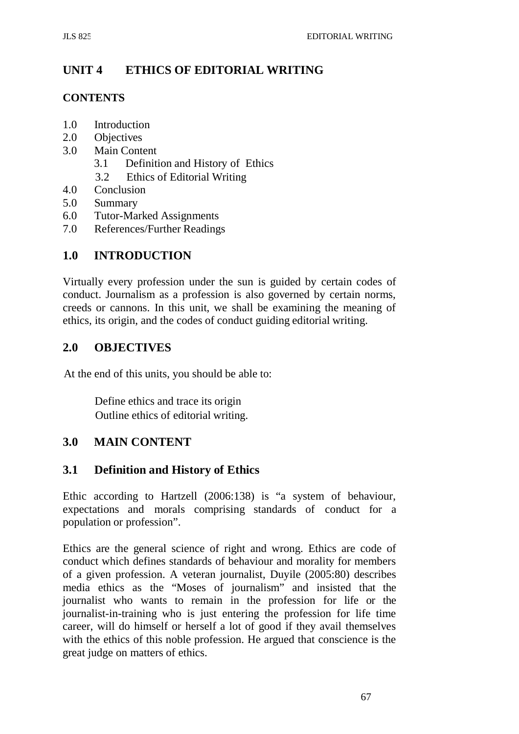# **UNIT 4 ETHICS OF EDITORIAL WRITING**

### **CONTENTS**

- 1.0 Introduction
- 2.0 Objectives
- 3.0 Main Content
	- 3.1 Definition and History of Ethics
	- 3.2 Ethics of Editorial Writing
- 4.0 Conclusion
- 5.0 Summary
- 6.0 Tutor-Marked Assignments
- 7.0 References/Further Readings

## **1.0 INTRODUCTION**

Virtually every profession under the sun is guided by certain codes of conduct. Journalism as a profession is also governed by certain norms, creeds or cannons. In this unit, we shall be examining the meaning of ethics, its origin, and the codes of conduct guiding editorial writing.

### **2.0 OBJECTIVES**

At the end of this units, you should be able to:

Define ethics and trace its origin Outline ethics of editorial writing.

### **3.0 MAIN CONTENT**

### **3.1 Definition and History of Ethics**

Ethic according to Hartzell (2006:138) is "a system of behaviour, expectations and morals comprising standards of conduct for a population or profession".

Ethics are the general science of right and wrong. Ethics are code of conduct which defines standards of behaviour and morality for members of a given profession. A veteran journalist, Duyile (2005:80) describes media ethics as the "Moses of journalism" and insisted that the journalist who wants to remain in the profession for life or the journalist-in-training who is just entering the profession for life time career, will do himself or herself a lot of good if they avail themselves with the ethics of this noble profession. He argued that conscience is the great judge on matters of ethics.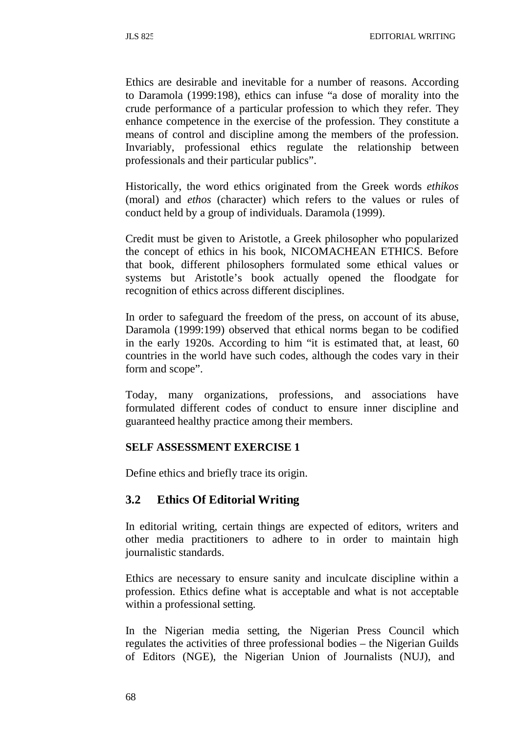Ethics are desirable and inevitable for a number of reasons. According to Daramola (1999:198), ethics can infuse "a dose of morality into the crude performance of a particular profession to which they refer. They enhance competence in the exercise of the profession. They constitute a means of control and discipline among the members of the profession. Invariably, professional ethics regulate the relationship between professionals and their particular publics".

Historically, the word ethics originated from the Greek words *ethikos*  (moral) and *ethos* (character) which refers to the values or rules of conduct held by a group of individuals. Daramola (1999).

Credit must be given to Aristotle, a Greek philosopher who popularized the concept of ethics in his book, NICOMACHEAN ETHICS. Before that book, different philosophers formulated some ethical values or systems but Aristotle's book actually opened the floodgate for recognition of ethics across different disciplines.

In order to safeguard the freedom of the press, on account of its abuse, Daramola (1999:199) observed that ethical norms began to be codified in the early 1920s. According to him "it is estimated that, at least, 60 countries in the world have such codes, although the codes vary in their form and scope".

Today, many organizations, professions, and associations have formulated different codes of conduct to ensure inner discipline and guaranteed healthy practice among their members.

#### **SELF ASSESSMENT EXERCISE 1**

Define ethics and briefly trace its origin.

### **3.2 Ethics Of Editorial Writing**

In editorial writing, certain things are expected of editors, writers and other media practitioners to adhere to in order to maintain high journalistic standards.

Ethics are necessary to ensure sanity and inculcate discipline within a profession. Ethics define what is acceptable and what is not acceptable within a professional setting.

In the Nigerian media setting, the Nigerian Press Council which regulates the activities of three professional bodies – the Nigerian Guilds of Editors (NGE), the Nigerian Union of Journalists (NUJ), and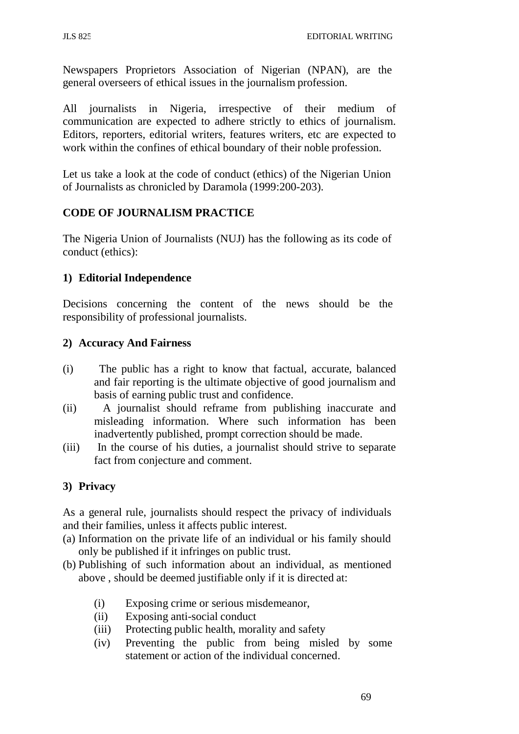Newspapers Proprietors Association of Nigerian (NPAN), are the general overseers of ethical issues in the journalism profession.

All journalists in Nigeria, irrespective of their medium of communication are expected to adhere strictly to ethics of journalism. Editors, reporters, editorial writers, features writers, etc are expected to work within the confines of ethical boundary of their noble profession.

Let us take a look at the code of conduct (ethics) of the Nigerian Union of Journalists as chronicled by Daramola (1999:200-203).

# **CODE OF JOURNALISM PRACTICE**

The Nigeria Union of Journalists (NUJ) has the following as its code of conduct (ethics):

# **1) Editorial Independence**

Decisions concerning the content of the news should be the responsibility of professional journalists.

## **2) Accuracy And Fairness**

- (i) The public has a right to know that factual, accurate, balanced and fair reporting is the ultimate objective of good journalism and basis of earning public trust and confidence.
- (ii) A journalist should reframe from publishing inaccurate and misleading information. Where such information has been inadvertently published, prompt correction should be made.
- (iii) In the course of his duties, a journalist should strive to separate fact from conjecture and comment.

# **3) Privacy**

As a general rule, journalists should respect the privacy of individuals and their families, unless it affects public interest.

- (a) Information on the private life of an individual or his family should only be published if it infringes on public trust.
- (b) Publishing of such information about an individual, as mentioned above , should be deemed justifiable only if it is directed at:
	- (i) Exposing crime or serious misdemeanor,
	- (ii) Exposing anti-social conduct
	- (iii) Protecting public health, morality and safety
	- (iv) Preventing the public from being misled by some statement or action of the individual concerned.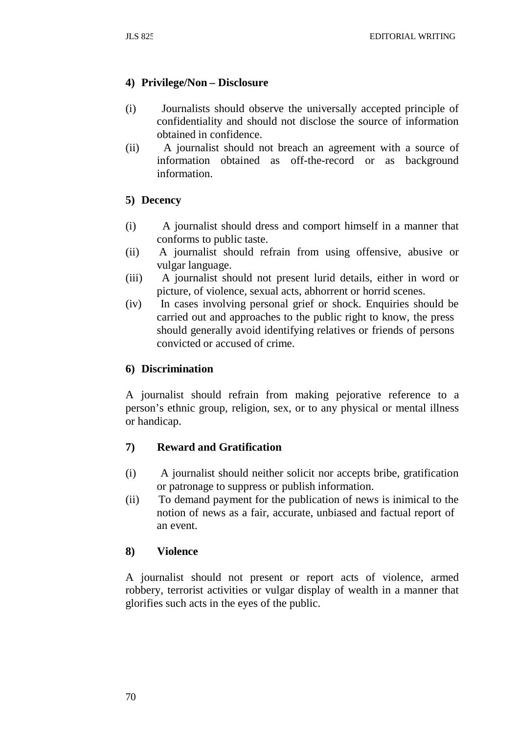### **4) Privilege/Non – Disclosure**

- (i) Journalists should observe the universally accepted principle of confidentiality and should not disclose the source of information obtained in confidence.
- (ii) A journalist should not breach an agreement with a source of information obtained as off-the-record or as background information.

### **5) Decency**

- (i) A journalist should dress and comport himself in a manner that conforms to public taste.
- (ii) A journalist should refrain from using offensive, abusive or vulgar language.
- (iii) A journalist should not present lurid details, either in word or picture, of violence, sexual acts, abhorrent or horrid scenes.
- (iv) In cases involving personal grief or shock. Enquiries should be carried out and approaches to the public right to know, the press should generally avoid identifying relatives or friends of persons convicted or accused of crime.

### **6) Discrimination**

A journalist should refrain from making pejorative reference to a person's ethnic group, religion, sex, or to any physical or mental illness or handicap.

### **7) Reward and Gratification**

- (i) A journalist should neither solicit nor accepts bribe, gratification or patronage to suppress or publish information.
- (ii) To demand payment for the publication of news is inimical to the notion of news as a fair, accurate, unbiased and factual report of an event.

### **8) Violence**

A journalist should not present or report acts of violence, armed robbery, terrorist activities or vulgar display of wealth in a manner that glorifies such acts in the eyes of the public.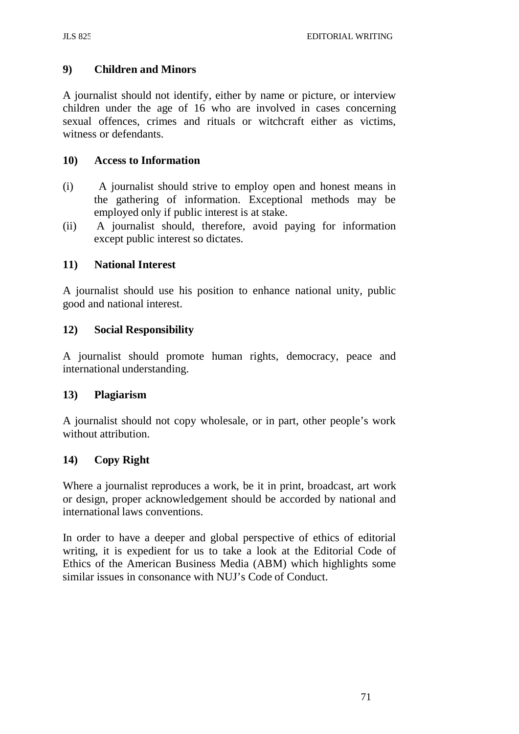## **9) Children and Minors**

A journalist should not identify, either by name or picture, or interview children under the age of 16 who are involved in cases concerning sexual offences, crimes and rituals or witchcraft either as victims, witness or defendants.

## **10) Access to Information**

- (i) A journalist should strive to employ open and honest means in the gathering of information. Exceptional methods may be employed only if public interest is at stake.
- (ii) A journalist should, therefore, avoid paying for information except public interest so dictates.

## **11) National Interest**

A journalist should use his position to enhance national unity, public good and national interest.

## **12) Social Responsibility**

A journalist should promote human rights, democracy, peace and international understanding.

### **13) Plagiarism**

A journalist should not copy wholesale, or in part, other people's work without attribution.

# **14) Copy Right**

Where a journalist reproduces a work, be it in print, broadcast, art work or design, proper acknowledgement should be accorded by national and international laws conventions.

In order to have a deeper and global perspective of ethics of editorial writing, it is expedient for us to take a look at the Editorial Code of Ethics of the American Business Media (ABM) which highlights some similar issues in consonance with NUJ's Code of Conduct.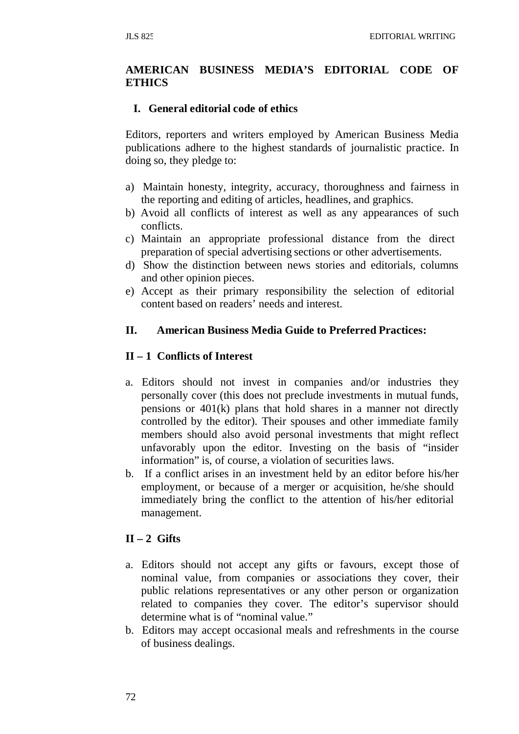### **AMERICAN BUSINESS MEDIA'S EDITORIAL CODE OF ETHICS**

#### **I. General editorial code of ethics**

Editors, reporters and writers employed by American Business Media publications adhere to the highest standards of journalistic practice. In doing so, they pledge to:

- a) Maintain honesty, integrity, accuracy, thoroughness and fairness in the reporting and editing of articles, headlines, and graphics.
- b) Avoid all conflicts of interest as well as any appearances of such conflicts.
- c) Maintain an appropriate professional distance from the direct preparation of special advertising sections or other advertisements.
- d) Show the distinction between news stories and editorials, columns and other opinion pieces.
- e) Accept as their primary responsibility the selection of editorial content based on readers' needs and interest.

#### **II. American Business Media Guide to Preferred Practices:**

#### **II – 1 Conflicts of Interest**

- a. Editors should not invest in companies and/or industries they personally cover (this does not preclude investments in mutual funds, pensions or 401(k) plans that hold shares in a manner not directly controlled by the editor). Their spouses and other immediate family members should also avoid personal investments that might reflect unfavorably upon the editor. Investing on the basis of "insider information" is, of course, a violation of securities laws.
- b. If a conflict arises in an investment held by an editor before his/her employment, or because of a merger or acquisition, he/she should immediately bring the conflict to the attention of his/her editorial management.

#### **II – 2 Gifts**

- a. Editors should not accept any gifts or favours, except those of nominal value, from companies or associations they cover, their public relations representatives or any other person or organization related to companies they cover. The editor's supervisor should determine what is of "nominal value."
- b. Editors may accept occasional meals and refreshments in the course of business dealings.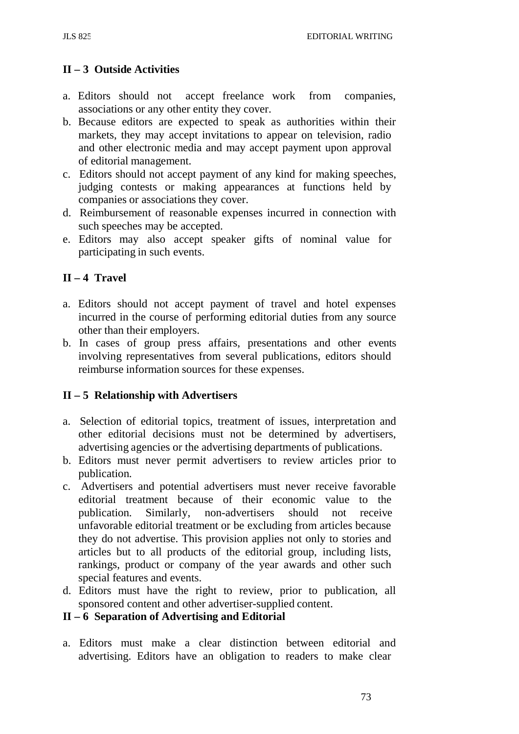# **II – 3 Outside Activities**

- a. Editors should not accept freelance work from companies, associations or any other entity they cover.
- b. Because editors are expected to speak as authorities within their markets, they may accept invitations to appear on television, radio and other electronic media and may accept payment upon approval of editorial management.
- c. Editors should not accept payment of any kind for making speeches, judging contests or making appearances at functions held by companies or associations they cover.
- d. Reimbursement of reasonable expenses incurred in connection with such speeches may be accepted.
- e. Editors may also accept speaker gifts of nominal value for participating in such events.

## **II – 4 Travel**

- a. Editors should not accept payment of travel and hotel expenses incurred in the course of performing editorial duties from any source other than their employers.
- b. In cases of group press affairs, presentations and other events involving representatives from several publications, editors should reimburse information sources for these expenses.

### **II – 5 Relationship with Advertisers**

- a. Selection of editorial topics, treatment of issues, interpretation and other editorial decisions must not be determined by advertisers, advertising agencies or the advertising departments of publications.
- b. Editors must never permit advertisers to review articles prior to publication.
- c. Advertisers and potential advertisers must never receive favorable editorial treatment because of their economic value to the publication. Similarly, non-advertisers should not receive unfavorable editorial treatment or be excluding from articles because they do not advertise. This provision applies not only to stories and articles but to all products of the editorial group, including lists, rankings, product or company of the year awards and other such special features and events.
- d. Editors must have the right to review, prior to publication, all sponsored content and other advertiser-supplied content.

### **II – 6 Separation of Advertising and Editorial**

a. Editors must make a clear distinction between editorial and advertising. Editors have an obligation to readers to make clear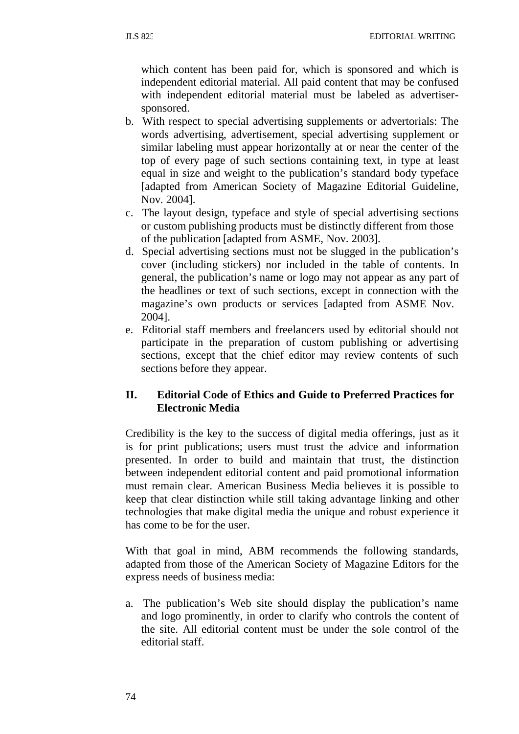which content has been paid for, which is sponsored and which is independent editorial material. All paid content that may be confused with independent editorial material must be labeled as advertisersponsored.

- b. With respect to special advertising supplements or advertorials: The words advertising, advertisement, special advertising supplement or similar labeling must appear horizontally at or near the center of the top of every page of such sections containing text, in type at least equal in size and weight to the publication's standard body typeface [adapted from American Society of Magazine Editorial Guideline, Nov. 2004].
- c. The layout design, typeface and style of special advertising sections or custom publishing products must be distinctly different from those of the publication [adapted from ASME, Nov. 2003].
- d. Special advertising sections must not be slugged in the publication's cover (including stickers) nor included in the table of contents. In general, the publication's name or logo may not appear as any part of the headlines or text of such sections, except in connection with the magazine's own products or services [adapted from ASME Nov. 2004].
- e. Editorial staff members and freelancers used by editorial should not participate in the preparation of custom publishing or advertising sections, except that the chief editor may review contents of such sections before they appear.

## **II. Editorial Code of Ethics and Guide to Preferred Practices for Electronic Media**

Credibility is the key to the success of digital media offerings, just as it is for print publications; users must trust the advice and information presented. In order to build and maintain that trust, the distinction between independent editorial content and paid promotional information must remain clear. American Business Media believes it is possible to keep that clear distinction while still taking advantage linking and other technologies that make digital media the unique and robust experience it has come to be for the user.

With that goal in mind, ABM recommends the following standards, adapted from those of the American Society of Magazine Editors for the express needs of business media:

a. The publication's Web site should display the publication's name and logo prominently, in order to clarify who controls the content of the site. All editorial content must be under the sole control of the editorial staff.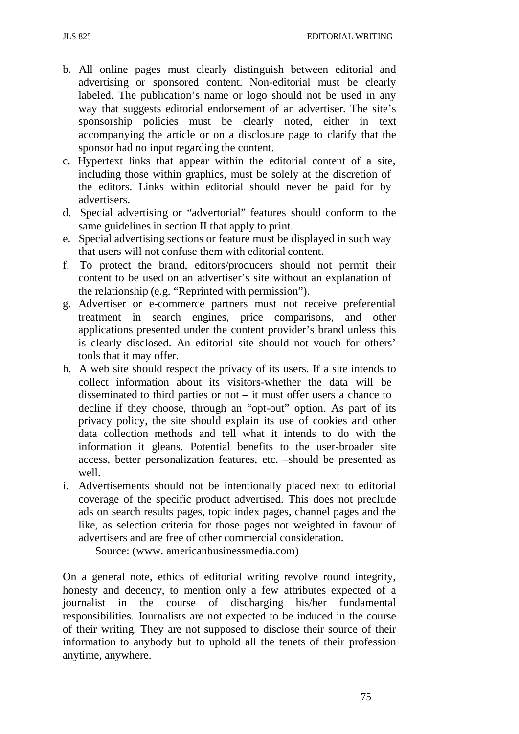- b. All online pages must clearly distinguish between editorial and advertising or sponsored content. Non-editorial must be clearly labeled. The publication's name or logo should not be used in any way that suggests editorial endorsement of an advertiser. The site's sponsorship policies must be clearly noted, either in text accompanying the article or on a disclosure page to clarify that the sponsor had no input regarding the content.
- c. Hypertext links that appear within the editorial content of a site, including those within graphics, must be solely at the discretion of the editors. Links within editorial should never be paid for by advertisers.
- d. Special advertising or "advertorial" features should conform to the same guidelines in section II that apply to print.
- e. Special advertising sections or feature must be displayed in such way that users will not confuse them with editorial content.
- f. To protect the brand, editors/producers should not permit their content to be used on an advertiser's site without an explanation of the relationship (e.g. "Reprinted with permission").
- g. Advertiser or e-commerce partners must not receive preferential treatment in search engines, price comparisons, and other applications presented under the content provider's brand unless this is clearly disclosed. An editorial site should not vouch for others' tools that it may offer.
- h. A web site should respect the privacy of its users. If a site intends to collect information about its visitors-whether the data will be disseminated to third parties or not – it must offer users a chance to decline if they choose, through an "opt-out" option. As part of its privacy policy, the site should explain its use of cookies and other data collection methods and tell what it intends to do with the information it gleans. Potential benefits to the user-broader site access, better personalization features, etc. –should be presented as well.
- i. Advertisements should not be intentionally placed next to editorial coverage of the specific product advertised. This does not preclude ads on search results pages, topic index pages, channel pages and the like, as selection criteria for those pages not weighted in favour of advertisers and are free of other commercial consideration.

Source: [\(www.](http://www/) americanbusinessmedia.com)

On a general note, ethics of editorial writing revolve round integrity, honesty and decency, to mention only a few attributes expected of a journalist in the course of discharging his/her fundamental responsibilities. Journalists are not expected to be induced in the course of their writing. They are not supposed to disclose their source of their information to anybody but to uphold all the tenets of their profession anytime, anywhere.